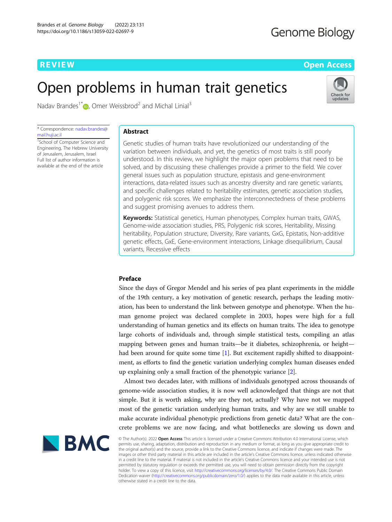# **Genome Biology**

**REVIEW CONTROL** CONTROL CONTROL CONTROL CONTROL CONTROL CONTROL CONTROL CONTROL CONTROL CONTROL CONTROL CONTROL CONTROL CONTROL CONTROL CONTROL CONTROL CONTROL CONTROL CONTROL CONTROL CONTROL CONTROL CONTROL CONTROL CONTR

Check for update

# Open problems in human trait genetics

Nadav Brandes<sup>1\*</sup> $\bullet$ [,](http://orcid.org/0000-0002-0510-2546) Omer Weissbrod<sup>2</sup> and Michal Linial<sup>3</sup>

\* Correspondence: [nadav.brandes@](mailto:nadav.brandes@mail.huji.ac.il) [mail.huji.ac.il](mailto:nadav.brandes@mail.huji.ac.il)

<sup>1</sup>School of Computer Science and Engineering, The Hebrew University of Jerusalem, Jerusalem, Israel Full list of author information is available at the end of the article

# Abstract

Genetic studies of human traits have revolutionized our understanding of the variation between individuals, and yet, the genetics of most traits is still poorly understood. In this review, we highlight the major open problems that need to be solved, and by discussing these challenges provide a primer to the field. We cover general issues such as population structure, epistasis and gene-environment interactions, data-related issues such as ancestry diversity and rare genetic variants, and specific challenges related to heritability estimates, genetic association studies, and polygenic risk scores. We emphasize the interconnectedness of these problems and suggest promising avenues to address them.

Keywords: Statistical genetics, Human phenotypes, Complex human traits, GWAS, Genome-wide association studies, PRS, Polygenic risk scores, Heritability, Missing heritability, Population structure, Diversity, Rare variants, GxG, Epistatis, Non-additive genetic effects, GxE, Gene-environment interactions, Linkage disequilibrium, Causal variants, Recessive effects

# Preface

Since the days of Gregor Mendel and his series of pea plant experiments in the middle of the 19th century, a key motivation of genetic research, perhaps the leading motivation, has been to understand the link between genotype and phenotype. When the human genome project was declared complete in 2003, hopes were high for a full understanding of human genetics and its effects on human traits. The idea to genotype large cohorts of individuals and, through simple statistical tests, compiling an atlas mapping between genes and human traits—be it diabetes, schizophrenia, or height had been around for quite some time [[1\]](#page-28-0). But excitement rapidly shifted to disappointment, as efforts to find the genetic variation underlying complex human diseases ended up explaining only a small fraction of the phenotypic variance [[2](#page-28-0)].

Almost two decades later, with millions of individuals genotyped across thousands of genome-wide association studies, it is now well acknowledged that things are not that simple. But it is worth asking, why are they not, actually? Why have not we mapped most of the genetic variation underlying human traits, and why are we still unable to make accurate individual phenotypic predictions from genetic data? What are the concrete problems we are now facing, and what bottlenecks are slowing us down and



© The Author(s). 2022 Open Access This article is licensed under a Creative Commons Attribution 4.0 International License, which permits use, sharing, adaptation, distribution and reproduction in any medium or format, as long as you give appropriate credit to the original author(s) and the source, provide a link to the Creative Commons licence, and indicate if changes were made. The images or other third party material in this article are included in the article's Creative Commons licence, unless indicated otherwise in a credit line to the material. If material is not included in the article's Creative Commons licence and your intended use is not permitted by statutory regulation or exceeds the permitted use, you will need to obtain permission directly from the copyright<br>holder. To view a copy of this licence, visit [http://creativecommons.org/licenses/by/4.0/.](http://creativecommons.org/licenses/by/4.0/) The Dedication waiver [\(http://creativecommons.org/publicdomain/zero/1.0/](http://creativecommons.org/publicdomain/zero/1.0/)) applies to the data made available in this article, unless otherwise stated in a credit line to the data.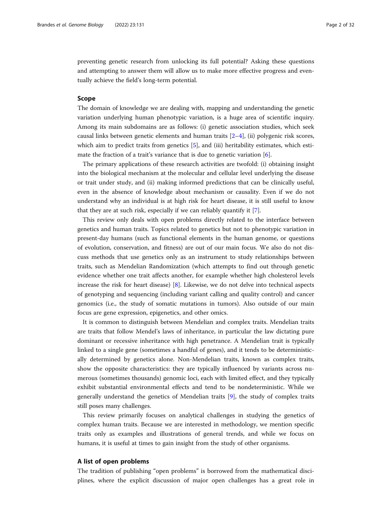preventing genetic research from unlocking its full potential? Asking these questions and attempting to answer them will allow us to make more effective progress and eventually achieve the field's long-term potential.

# Scope

The domain of knowledge we are dealing with, mapping and understanding the genetic variation underlying human phenotypic variation, is a huge area of scientific inquiry. Among its main subdomains are as follows: (i) genetic association studies, which seek causal links between genetic elements and human traits  $[2-4]$  $[2-4]$  $[2-4]$ , (ii) polygenic risk scores, which aim to predict traits from genetics [\[5](#page-28-0)], and (iii) heritability estimates, which estimate the fraction of a trait's variance that is due to genetic variation [[6\]](#page-28-0).

The primary applications of these research activities are twofold: (i) obtaining insight into the biological mechanism at the molecular and cellular level underlying the disease or trait under study, and (ii) making informed predictions that can be clinically useful, even in the absence of knowledge about mechanism or causality. Even if we do not understand why an individual is at high risk for heart disease, it is still useful to know that they are at such risk, especially if we can reliably quantify it [[7](#page-28-0)].

This review only deals with open problems directly related to the interface between genetics and human traits. Topics related to genetics but not to phenotypic variation in present-day humans (such as functional elements in the human genome, or questions of evolution, conservation, and fitness) are out of our main focus. We also do not discuss methods that use genetics only as an instrument to study relationships between traits, such as Mendelian Randomization (which attempts to find out through genetic evidence whether one trait affects another, for example whether high cholesterol levels increase the risk for heart disease) [[8\]](#page-28-0). Likewise, we do not delve into technical aspects of genotyping and sequencing (including variant calling and quality control) and cancer genomics (i.e., the study of somatic mutations in tumors). Also outside of our main focus are gene expression, epigenetics, and other omics.

It is common to distinguish between Mendelian and complex traits. Mendelian traits are traits that follow Mendel's laws of inheritance, in particular the law dictating pure dominant or recessive inheritance with high penetrance. A Mendelian trait is typically linked to a single gene (sometimes a handful of genes), and it tends to be deterministically determined by genetics alone. Non-Mendelian traits, known as complex traits, show the opposite characteristics: they are typically influenced by variants across numerous (sometimes thousands) genomic loci, each with limited effect, and they typically exhibit substantial environmental effects and tend to be nondeterministic. While we generally understand the genetics of Mendelian traits [\[9](#page-28-0)], the study of complex traits still poses many challenges.

This review primarily focuses on analytical challenges in studying the genetics of complex human traits. Because we are interested in methodology, we mention specific traits only as examples and illustrations of general trends, and while we focus on humans, it is useful at times to gain insight from the study of other organisms.

# A list of open problems

The tradition of publishing "open problems" is borrowed from the mathematical disciplines, where the explicit discussion of major open challenges has a great role in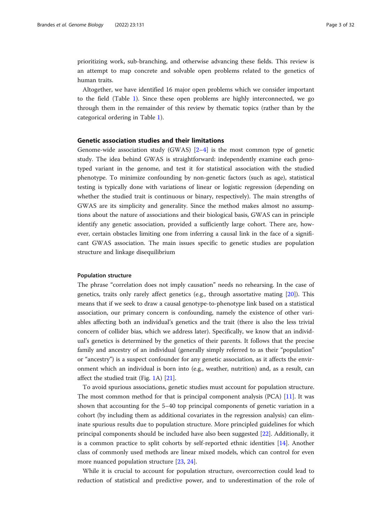prioritizing work, sub-branching, and otherwise advancing these fields. This review is an attempt to map concrete and solvable open problems related to the genetics of human traits.

Altogether, we have identified 16 major open problems which we consider important to the field (Table [1\)](#page-3-0). Since these open problems are highly interconnected, we go through them in the remainder of this review by thematic topics (rather than by the categorical ordering in Table [1\)](#page-3-0).

### Genetic association studies and their limitations

Genome-wide association study (GWAS)  $[2-4]$  $[2-4]$  $[2-4]$  $[2-4]$  is the most common type of genetic study. The idea behind GWAS is straightforward: independently examine each genotyped variant in the genome, and test it for statistical association with the studied phenotype. To minimize confounding by non-genetic factors (such as age), statistical testing is typically done with variations of linear or logistic regression (depending on whether the studied trait is continuous or binary, respectively). The main strengths of GWAS are its simplicity and generality. Since the method makes almost no assumptions about the nature of associations and their biological basis, GWAS can in principle identify any genetic association, provided a sufficiently large cohort. There are, however, certain obstacles limiting one from inferring a causal link in the face of a significant GWAS association. The main issues specific to genetic studies are population structure and linkage disequilibrium

#### Population structure

The phrase "correlation does not imply causation" needs no rehearsing. In the case of genetics, traits only rarely affect genetics (e.g., through assortative mating [[20\]](#page-29-0)). This means that if we seek to draw a causal genotype-to-phenotype link based on a statistical association, our primary concern is confounding, namely the existence of other variables affecting both an individual's genetics and the trait (there is also the less trivial concern of collider bias, which we address later). Specifically, we know that an individual's genetics is determined by the genetics of their parents. It follows that the precise family and ancestry of an individual (generally simply referred to as their "population" or "ancestry") is a suspect confounder for any genetic association, as it affects the environment which an individual is born into (e.g., weather, nutrition) and, as a result, can affect the studied trait (Fig. [1A](#page-6-0)) [[21\]](#page-29-0).

To avoid spurious associations, genetic studies must account for population structure. The most common method for that is principal component analysis (PCA) [\[11](#page-28-0)]. It was shown that accounting for the 5–40 top principal components of genetic variation in a cohort (by including them as additional covariates in the regression analysis) can eliminate spurious results due to population structure. More principled guidelines for which principal components should be included have also been suggested [[22](#page-29-0)]. Additionally, it is a common practice to split cohorts by self-reported ethnic identities [\[14](#page-28-0)]. Another class of commonly used methods are linear mixed models, which can control for even more nuanced population structure [[23](#page-29-0), [24](#page-29-0)].

While it is crucial to account for population structure, overcorrection could lead to reduction of statistical and predictive power, and to underestimation of the role of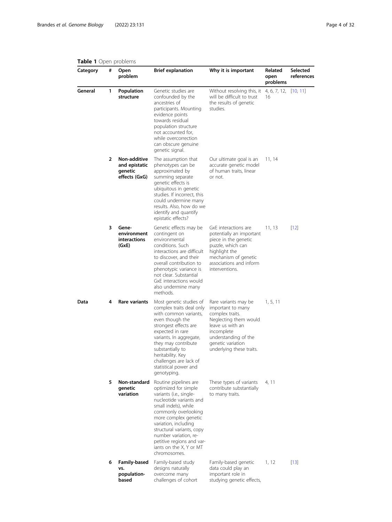#### <span id="page-3-0"></span>Table 1 Open problems

| <b>INDIC I</b> Open producting<br>Category | # | Open<br>problem                                           | <b>Brief explanation</b>                                                                                                                                                                                                                                                                                                          | Why it is important                                                                                                                                                                              | Related<br>open<br>problems | Selected<br>references |
|--------------------------------------------|---|-----------------------------------------------------------|-----------------------------------------------------------------------------------------------------------------------------------------------------------------------------------------------------------------------------------------------------------------------------------------------------------------------------------|--------------------------------------------------------------------------------------------------------------------------------------------------------------------------------------------------|-----------------------------|------------------------|
| General                                    | 1 | Population<br>structure                                   | Genetic studies are<br>confounded by the<br>ancestries of<br>participants. Mounting<br>evidence points<br>towards residual<br>population structure<br>not accounted for,<br>while overcorrection<br>can obscure genuine<br>genetic signal.                                                                                        | Without resolving this, it<br>will be difficult to trust<br>the results of genetic<br>studies.                                                                                                   | 4, 6, 7, 12,<br>16          | [10, 11]               |
|                                            | 2 | Non-additive<br>and epistatic<br>genetic<br>effects (GxG) | The assumption that<br>phenotypes can be<br>approximated by<br>summing separate<br>genetic effects is<br>ubiquitous in genetic<br>studies. If incorrect, this<br>could undermine many<br>results. Also, how do we<br>identify and quantify<br>epistatic effects?                                                                  | Our ultimate goal is an<br>accurate genetic model<br>of human traits, linear<br>or not.                                                                                                          | 11, 14                      |                        |
|                                            | 3 | Gene-<br>environment<br>interactions<br>(GxE)             | Genetic effects may be<br>contingent on<br>environmental<br>conditions. Such<br>interactions are difficult<br>to discover, and their<br>overall contribution to<br>phenotypic variance is<br>not clear. Substantial<br>GxE interactions would<br>also undermine many<br>methods.                                                  | GxE interactions are<br>potentially an important<br>piece in the genetic<br>puzzle, which can<br>highlight the<br>mechanism of genetic<br>associations and inform<br>interventions.              | 11, 13                      | $[12]$                 |
| Data                                       | 4 | Rare variants                                             | Most genetic studies of<br>complex traits deal only<br>with common variants,<br>even though the<br>strongest effects are<br>expected in rare<br>variants. In aggregate,<br>they may contribute<br>substantially to<br>heritability. Key<br>challenges are lack of<br>statistical power and<br>genotyping.                         | Rare variants may be<br>important to many<br>complex traits.<br>Neglecting them would<br>leave us with an<br>incomplete<br>understanding of the<br>genetic variation<br>underlying these traits. | 1, 5, 11                    |                        |
|                                            | 5 | Non-standard<br>aenetic<br>variation                      | Routine pipelines are<br>optimized for simple<br>variants (i.e., single-<br>nucleotide variants and<br>small indels), while<br>commonly overlooking<br>more complex genetic<br>variation, including<br>structural variants, copy<br>number variation, re-<br>petitive regions and var-<br>iants on the X, Y or MT<br>chromosomes. | These types of variants<br>contribute substantially<br>to many traits.                                                                                                                           | 4, 11                       |                        |
|                                            | 6 | <b>Family-based</b><br>vs.<br>population-<br>based        | Family-based study<br>designs naturally<br>overcome many<br>challenges of cohort                                                                                                                                                                                                                                                  | Family-based genetic<br>data could play an<br>important role in<br>studying genetic effects,                                                                                                     | 1, 12                       | $[13]$                 |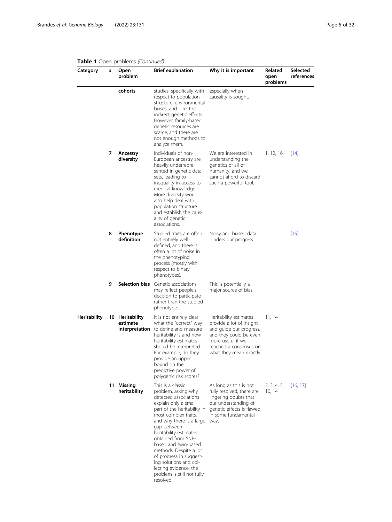#### Category # Open problem Brief explanation Why it is important Related open problems Selected references cohorts studies, specifically with respect to population structure, environmental biases, and direct vs. indirect genetic effects. However, family-based genetic resources are scarce, and there are not enough methods to analyze them. especially when causality is sought. 7 Ancestry diversity Individuals of non-European ancestry are heavily underrepresented in genetic datasets, leading to inequality in access to medical knowledge. More diversity would also help deal with population structure and establish the causality of genetic associations. We are interested in understanding the genetics of all of humanity, and we cannot afford to discard such a powerful tool. 1, 12, 16 [[14\]](#page-28-0) 8 Phenotype definition Studied traits are often not entirely well defined, and there is often a lot of noise in the phenotyping process (mostly with respect to binary phenotypes). Noisy and biased data hinders our progress.  $[15]$  $[15]$ **9 Selection bias** Genetic associations may reflect people's decision to participate rather than the studied phenotype. This is potentially a major source of bias. Heritability 10 Heritability estimate interpretation to define and measure It is not entirely clear what the "correct" way heritability is and how heritability estimates should be interpreted. For example, do they provide an upper bound on the predictive power of polygenic risk scores? Heritability estimates provide a lot of insight and guide our progress, and they could be even more useful if we reached a consensus on what they mean exactly. 11, 14 11 Missing heritability This is a classic problem, asking why detected associations explain only a small part of the heritability in most complex traits, and why there is a large gap between heritability estimates obtained from SNPbased and twin-based methods. Despite a lot of progress in suggesting solutions and collecting evidence, the problem is still not fully resolved. As long as this is not fully resolved, there are lingering doubts that our understanding of genetic effects is flawed in some fundamental way. 2, 3, 4, 5, [[16,](#page-28-0) [17\]](#page-28-0) 10, 14

# Table 1 Open problems (Continued)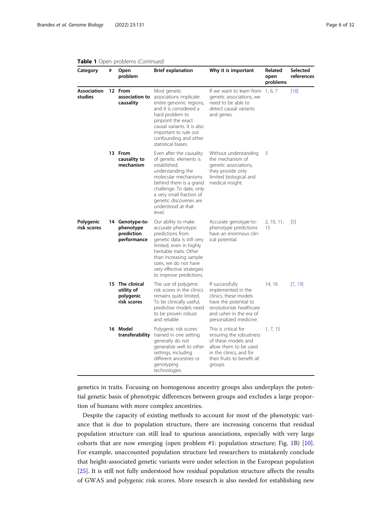| Category                      | # | Open<br>problem                                           | <b>Brief explanation</b>                                                                                                                                                                                                                                      | Why it is important                                                                                                                                                      | Related<br>open<br>problems | Selected<br>references |
|-------------------------------|---|-----------------------------------------------------------|---------------------------------------------------------------------------------------------------------------------------------------------------------------------------------------------------------------------------------------------------------------|--------------------------------------------------------------------------------------------------------------------------------------------------------------------------|-----------------------------|------------------------|
| <b>Association</b><br>studies |   | 12 From<br>association to<br>causality                    | Most genetic<br>associations implicate<br>entire genomic regions,<br>and it is considered a<br>hard problem to<br>pinpoint the exact<br>causal variants. It is also<br>important to rule out<br>confounding and other<br>statistical biases.                  | If we want to learn from<br>genetic associations, we<br>need to be able to<br>detect causal variants<br>and genes.                                                       | 1, 6, 7                     | $[18]$                 |
|                               |   | 13 From<br>causality to<br>mechanism                      | Even after the causality<br>of genetic elements is<br>established,<br>understanding the<br>molecular mechanisms<br>behind them is a grand<br>challenge. To date, only<br>a very small fraction of<br>genetic discoveries are<br>understood at that<br>level.  | Without understanding<br>the mechanism of<br>genetic associations,<br>they provide only<br>limited biological and<br>medical insight.                                    | 3                           |                        |
| Polygenic<br>risk scores      |   | 14 Genotype-to-<br>phenotype<br>prediction<br>performance | Our ability to make<br>accurate phenotypic<br>predictions from<br>genetic data is still very<br>limited, even in highly<br>heritable traits. Other<br>than increasing sample<br>sizes, we do not have<br>very effective strategies<br>to improve predictions. | Accurate genotype-to-<br>phenotype predictions<br>have an enormous clin-<br>ical potential.                                                                              | 2, 10, 11,<br>15            | $\lbrack 5\rbrack$     |
|                               |   | 15 The clinical<br>utility of<br>polygenic<br>risk scores | The use of polygenic<br>risk scores in the clinics<br>remains quite limited.<br>To be clinically useful,<br>predictive models need<br>to be proven robust<br>and reliable.                                                                                    | If successfully<br>implemented in the<br>clinics, these models<br>have the potential to<br>revolutionize healthcare<br>and usher in the era of<br>personalized medicine. | 14, 16                      | [7, 19]                |
|                               |   | 16 Model<br>transferability                               | Polygenic risk scores<br>trained in one setting<br>generally do not<br>generalize well to other<br>settings, including<br>different ancestries or<br>genotyping<br>technologies.                                                                              | This is critical for<br>ensuring the robustness<br>of these models and<br>allow them to be used<br>in the clinics, and for<br>their fruits to benefit all<br>groups.     | 1, 7, 15                    |                        |

# Table 1 Open problems (Continued)

genetics in traits. Focusing on homogenous ancestry groups also underplays the potential genetic basis of phenotypic differences between groups and excludes a large proportion of humans with more complex ancestries.

Despite the capacity of existing methods to account for most of the phenotypic variance that is due to population structure, there are increasing concerns that residual population structure can still lead to spurious associations, especially with very large cohorts that are now emerging (open problem #1: population structure; Fig. [1B](#page-6-0)) [[10](#page-28-0)]. For example, unaccounted population structure led researchers to mistakenly conclude that height-associated genetic variants were under selection in the European population [[25\]](#page-29-0). It is still not fully understood how residual population structure affects the results of GWAS and polygenic risk scores. More research is also needed for establishing new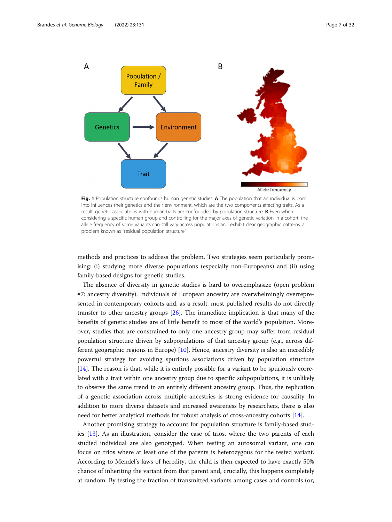<span id="page-6-0"></span>

Fig. 1 Population structure confounds human genetic studies. A The population that an individual is born into influences their genetics and their environment, which are the two components affecting traits. As a result, genetic associations with human traits are confounded by population structure. **B** Even when considering a specific human group and controlling for the major axes of genetic variation in a cohort, the allele frequency of some variants can still vary across populations and exhibit clear geographic patterns, a problem known as "residual population structure"

methods and practices to address the problem. Two strategies seem particularly promising: (i) studying more diverse populations (especially non-Europeans) and (ii) using family-based designs for genetic studies.

The absence of diversity in genetic studies is hard to overemphasize (open problem #7: ancestry diversity). Individuals of European ancestry are overwhelmingly overrepresented in contemporary cohorts and, as a result, most published results do not directly transfer to other ancestry groups [\[26\]](#page-29-0). The immediate implication is that many of the benefits of genetic studies are of little benefit to most of the world's population. Moreover, studies that are constrained to only one ancestry group may suffer from residual population structure driven by subpopulations of that ancestry group (e.g., across different geographic regions in Europe) [[10\]](#page-28-0). Hence, ancestry diversity is also an incredibly powerful strategy for avoiding spurious associations driven by population structure [[14\]](#page-28-0). The reason is that, while it is entirely possible for a variant to be spuriously correlated with a trait within one ancestry group due to specific subpopulations, it is unlikely to observe the same trend in an entirely different ancestry group. Thus, the replication of a genetic association across multiple ancestries is strong evidence for causality. In addition to more diverse datasets and increased awareness by researchers, there is also need for better analytical methods for robust analysis of cross-ancestry cohorts [\[14](#page-28-0)].

Another promising strategy to account for population structure is family-based studies [[13](#page-28-0)]. As an illustration, consider the case of trios, where the two parents of each studied individual are also genotyped. When testing an autosomal variant, one can focus on trios where at least one of the parents is heterozygous for the tested variant. According to Mendel's laws of heredity, the child is then expected to have exactly 50% chance of inheriting the variant from that parent and, crucially, this happens completely at random. By testing the fraction of transmitted variants among cases and controls (or,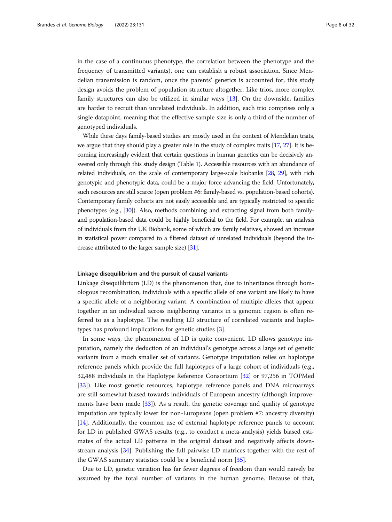in the case of a continuous phenotype, the correlation between the phenotype and the frequency of transmitted variants), one can establish a robust association. Since Mendelian transmission is random, once the parents' genetics is accounted for, this study design avoids the problem of population structure altogether. Like trios, more complex family structures can also be utilized in similar ways [\[13\]](#page-28-0). On the downside, families are harder to recruit than unrelated individuals. In addition, each trio comprises only a single datapoint, meaning that the effective sample size is only a third of the number of genotyped individuals.

While these days family-based studies are mostly used in the context of Mendelian traits, we argue that they should play a greater role in the study of complex traits [\[17](#page-28-0), [27\]](#page-29-0). It is becoming increasingly evident that certain questions in human genetics can be decisively answered only through this study design (Table [1](#page-3-0)). Accessible resources with an abundance of related individuals, on the scale of contemporary large-scale biobanks [\[28](#page-29-0), [29\]](#page-29-0), with rich genotypic and phenotypic data, could be a major force advancing the field. Unfortunately, such resources are still scarce (open problem #6: family-based vs. population-based cohorts). Contemporary family cohorts are not easily accessible and are typically restricted to specific phenotypes (e.g., [\[30\]](#page-29-0)). Also, methods combining and extracting signal from both familyand population-based data could be highly beneficial to the field. For example, an analysis of individuals from the UK Biobank, some of which are family relatives, showed an increase in statistical power compared to a filtered dataset of unrelated individuals (beyond the increase attributed to the larger sample size) [\[31\]](#page-29-0).

#### Linkage disequilibrium and the pursuit of causal variants

Linkage disequilibrium (LD) is the phenomenon that, due to inheritance through homologous recombination, individuals with a specific allele of one variant are likely to have a specific allele of a neighboring variant. A combination of multiple alleles that appear together in an individual across neighboring variants in a genomic region is often referred to as a haplotype. The resulting LD structure of correlated variants and haplotypes has profound implications for genetic studies [[3\]](#page-28-0).

In some ways, the phenomenon of LD is quite convenient. LD allows genotype imputation, namely the deduction of an individual's genotype across a large set of genetic variants from a much smaller set of variants. Genotype imputation relies on haplotype reference panels which provide the full haplotypes of a large cohort of individuals (e.g., 32,488 individuals in the Haplotype Reference Consortium [\[32](#page-29-0)] or 97,256 in TOPMed [[33\]](#page-29-0)). Like most genetic resources, haplotype reference panels and DNA microarrays are still somewhat biased towards individuals of European ancestry (although improvements have been made [[33](#page-29-0)]). As a result, the genetic coverage and quality of genotype imputation are typically lower for non-Europeans (open problem #7: ancestry diversity) [[14\]](#page-28-0). Additionally, the common use of external haplotype reference panels to account for LD in published GWAS results (e.g., to conduct a meta-analysis) yields biased estimates of the actual LD patterns in the original dataset and negatively affects downstream analysis [[34](#page-29-0)]. Publishing the full pairwise LD matrices together with the rest of the GWAS summary statistics could be a beneficial norm [[35](#page-29-0)].

Due to LD, genetic variation has far fewer degrees of freedom than would naively be assumed by the total number of variants in the human genome. Because of that,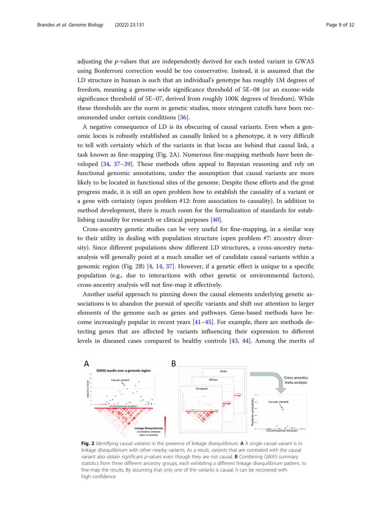adjusting the p-values that are independently derived for each tested variant in GWAS using Bonferroni correction would be too conservative. Instead, it is assumed that the LD structure in human is such that an individual's genotype has roughly 1M degrees of freedom, meaning a genome-wide significance threshold of 5E−08 (or an exome-wide significance threshold of 5E−07, derived from roughly 100K degrees of freedom). While these thresholds are the norm in genetic studies, more stringent cutoffs have been recommended under certain conditions [\[36](#page-29-0)].

A negative consequence of LD is its obscuring of causal variants. Even when a genomic locus is robustly established as causally linked to a phenotype, it is very difficult to tell with certainty which of the variants in that locus are behind that causal link, a task known as fine-mapping (Fig. 2A). Numerous fine-mapping methods have been developed [[34](#page-29-0), [37](#page-29-0)–[39](#page-29-0)]. These methods often appeal to Bayesian reasoning and rely on functional genomic annotations, under the assumption that causal variants are more likely to be located in functional sites of the genome. Despite these efforts and the great progress made, it is still an open problem how to establish the causality of a variant or a gene with certainty (open problem #12: from association to causality). In addition to method development, there is much room for the formalization of standards for establishing causality for research or clinical purposes [\[40\]](#page-29-0).

Cross-ancestry genetic studies can be very useful for fine-mapping, in a similar way to their utility in dealing with population structure (open problem #7: ancestry diversity). Since different populations show different LD structures, a cross-ancestry metaanalysis will generally point at a much smaller set of candidate causal variants within a genomic region (Fig. 2B) [\[4](#page-28-0), [14,](#page-28-0) [37\]](#page-29-0). However, if a genetic effect is unique to a specific population (e.g., due to interactions with other genetic or environmental factors), cross-ancestry analysis will not fine-map it effectively.

Another useful approach to pinning down the causal elements underlying genetic associations is to abandon the pursuit of specific variants and shift our attention to larger elements of the genome such as genes and pathways. Gene-based methods have become increasingly popular in recent years [[41](#page-29-0)–[45](#page-29-0)]. For example, there are methods detecting genes that are affected by variants influencing their expression to different levels in diseased cases compared to healthy controls [[43,](#page-29-0) [44\]](#page-29-0). Among the merits of



Fig. 2 Identifying causal variants in the presence of linkage disequilibrium. A A single causal variant is in linkage disequilibrium with other nearby variants. As a result, variants that are correlated with the causal variant also obtain significant p-values even though they are not causal. **B** Combining GWAS summary statistics from three different ancestry groups, each exhibiting a different linkage disequilibrium pattern, to fine-map the results. By assuming that only one of the variants is causal, it can be recovered with high confidence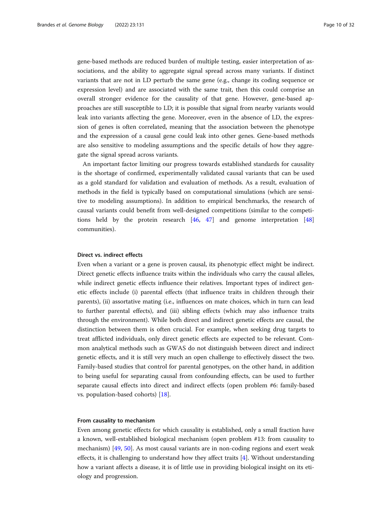gene-based methods are reduced burden of multiple testing, easier interpretation of associations, and the ability to aggregate signal spread across many variants. If distinct variants that are not in LD perturb the same gene (e.g., change its coding sequence or expression level) and are associated with the same trait, then this could comprise an overall stronger evidence for the causality of that gene. However, gene-based approaches are still susceptible to LD; it is possible that signal from nearby variants would leak into variants affecting the gene. Moreover, even in the absence of LD, the expression of genes is often correlated, meaning that the association between the phenotype and the expression of a causal gene could leak into other genes. Gene-based methods are also sensitive to modeling assumptions and the specific details of how they aggregate the signal spread across variants.

An important factor limiting our progress towards established standards for causality is the shortage of confirmed, experimentally validated causal variants that can be used as a gold standard for validation and evaluation of methods. As a result, evaluation of methods in the field is typically based on computational simulations (which are sensitive to modeling assumptions). In addition to empirical benchmarks, the research of causal variants could benefit from well-designed competitions (similar to the competitions held by the protein research [[46](#page-29-0), [47\]](#page-29-0) and genome interpretation [[48](#page-29-0)] communities).

# Direct vs. indirect effects

Even when a variant or a gene is proven causal, its phenotypic effect might be indirect. Direct genetic effects influence traits within the individuals who carry the causal alleles, while indirect genetic effects influence their relatives. Important types of indirect genetic effects include (i) parental effects (that influence traits in children through their parents), (ii) assortative mating (i.e., influences on mate choices, which in turn can lead to further parental effects), and (iii) sibling effects (which may also influence traits through the environment). While both direct and indirect genetic effects are causal, the distinction between them is often crucial. For example, when seeking drug targets to treat afflicted individuals, only direct genetic effects are expected to be relevant. Common analytical methods such as GWAS do not distinguish between direct and indirect genetic effects, and it is still very much an open challenge to effectively dissect the two. Family-based studies that control for parental genotypes, on the other hand, in addition to being useful for separating causal from confounding effects, can be used to further separate causal effects into direct and indirect effects (open problem #6: family-based vs. population-based cohorts) [\[18](#page-29-0)].

#### From causality to mechanism

Even among genetic effects for which causality is established, only a small fraction have a known, well-established biological mechanism (open problem #13: from causality to mechanism) [[49](#page-29-0), [50](#page-29-0)]. As most causal variants are in non-coding regions and exert weak effects, it is challenging to understand how they affect traits [\[4](#page-28-0)]. Without understanding how a variant affects a disease, it is of little use in providing biological insight on its etiology and progression.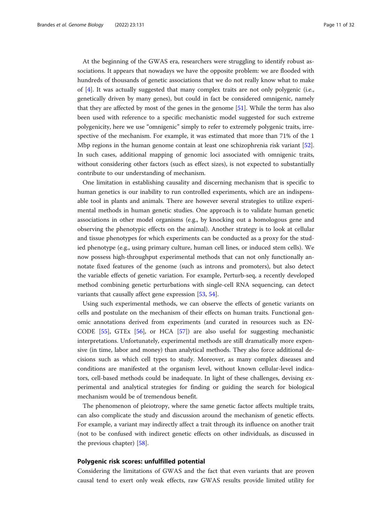At the beginning of the GWAS era, researchers were struggling to identify robust associations. It appears that nowadays we have the opposite problem: we are flooded with hundreds of thousands of genetic associations that we do not really know what to make of  $[4]$  $[4]$ . It was actually suggested that many complex traits are not only polygenic (i.e., genetically driven by many genes), but could in fact be considered omnigenic, namely that they are affected by most of the genes in the genome [[51\]](#page-29-0). While the term has also been used with reference to a specific mechanistic model suggested for such extreme polygenicity, here we use "omnigenic" simply to refer to extremely polygenic traits, irrespective of the mechanism. For example, it was estimated that more than 71% of the 1 Mbp regions in the human genome contain at least one schizophrenia risk variant [[52](#page-29-0)]. In such cases, additional mapping of genomic loci associated with omnigenic traits, without considering other factors (such as effect sizes), is not expected to substantially contribute to our understanding of mechanism.

One limitation in establishing causality and discerning mechanism that is specific to human genetics is our inability to run controlled experiments, which are an indispensable tool in plants and animals. There are however several strategies to utilize experimental methods in human genetic studies. One approach is to validate human genetic associations in other model organisms (e.g., by knocking out a homologous gene and observing the phenotypic effects on the animal). Another strategy is to look at cellular and tissue phenotypes for which experiments can be conducted as a proxy for the studied phenotype (e.g., using primary culture, human cell lines, or induced stem cells). We now possess high-throughput experimental methods that can not only functionally annotate fixed features of the genome (such as introns and promoters), but also detect the variable effects of genetic variation. For example, Perturb-seq, a recently developed method combining genetic perturbations with single-cell RNA sequencing, can detect variants that causally affect gene expression [\[53](#page-30-0), [54](#page-30-0)].

Using such experimental methods, we can observe the effects of genetic variants on cells and postulate on the mechanism of their effects on human traits. Functional genomic annotations derived from experiments (and curated in resources such as EN-CODE [\[55](#page-30-0)], GTEx [\[56\]](#page-30-0), or HCA [\[57](#page-30-0)]) are also useful for suggesting mechanistic interpretations. Unfortunately, experimental methods are still dramatically more expensive (in time, labor and money) than analytical methods. They also force additional decisions such as which cell types to study. Moreover, as many complex diseases and conditions are manifested at the organism level, without known cellular-level indicators, cell-based methods could be inadequate. In light of these challenges, devising experimental and analytical strategies for finding or guiding the search for biological mechanism would be of tremendous benefit.

The phenomenon of pleiotropy, where the same genetic factor affects multiple traits, can also complicate the study and discussion around the mechanism of genetic effects. For example, a variant may indirectly affect a trait through its influence on another trait (not to be confused with indirect genetic effects on other individuals, as discussed in the previous chapter) [[58\]](#page-30-0).

# Polygenic risk scores: unfulfilled potential

Considering the limitations of GWAS and the fact that even variants that are proven causal tend to exert only weak effects, raw GWAS results provide limited utility for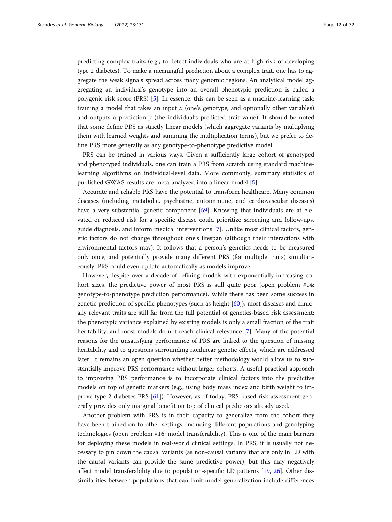predicting complex traits (e.g., to detect individuals who are at high risk of developing type 2 diabetes). To make a meaningful prediction about a complex trait, one has to aggregate the weak signals spread across many genomic regions. An analytical model aggregating an individual's genotype into an overall phenotypic prediction is called a polygenic risk score (PRS) [[5](#page-28-0)]. In essence, this can be seen as a machine-learning task: training a model that takes an input  $x$  (one's genotype, and optionally other variables) and outputs a prediction  $y$  (the individual's predicted trait value). It should be noted that some define PRS as strictly linear models (which aggregate variants by multiplying them with learned weights and summing the multiplication terms), but we prefer to define PRS more generally as any genotype-to-phenotype predictive model.

PRS can be trained in various ways. Given a sufficiently large cohort of genotyped and phenotyped individuals, one can train a PRS from scratch using standard machinelearning algorithms on individual-level data. More commonly, summary statistics of published GWAS results are meta-analyzed into a linear model [[5\]](#page-28-0).

Accurate and reliable PRS have the potential to transform healthcare. Many common diseases (including metabolic, psychiatric, autoimmune, and cardiovascular diseases) have a very substantial genetic component [\[59](#page-30-0)]. Knowing that individuals are at elevated or reduced risk for a specific disease could prioritize screening and follow-ups, guide diagnosis, and inform medical interventions [[7\]](#page-28-0). Unlike most clinical factors, genetic factors do not change throughout one's lifespan (although their interactions with environmental factors may). It follows that a person's genetics needs to be measured only once, and potentially provide many different PRS (for multiple traits) simultaneously. PRS could even update automatically as models improve.

However, despite over a decade of refining models with exponentially increasing cohort sizes, the predictive power of most PRS is still quite poor (open problem #14: genotype-to-phenotype prediction performance). While there has been some success in genetic prediction of specific phenotypes (such as height [[60\]](#page-30-0)), most diseases and clinically relevant traits are still far from the full potential of genetics-based risk assessment; the phenotypic variance explained by existing models is only a small fraction of the trait heritability, and most models do not reach clinical relevance [\[7\]](#page-28-0). Many of the potential reasons for the unsatisfying performance of PRS are linked to the question of missing heritability and to questions surrounding nonlinear genetic effects, which are addressed later. It remains an open question whether better methodology would allow us to substantially improve PRS performance without larger cohorts. A useful practical approach to improving PRS performance is to incorporate clinical factors into the predictive models on top of genetic markers (e.g., using body mass index and birth weight to improve type-2-diabetes PRS [\[61](#page-30-0)]). However, as of today, PRS-based risk assessment generally provides only marginal benefit on top of clinical predictors already used.

Another problem with PRS is in their capacity to generalize from the cohort they have been trained on to other settings, including different populations and genotyping technologies (open problem #16: model transferability). This is one of the main barriers for deploying these models in real-world clinical settings. In PRS, it is usually not necessary to pin down the causal variants (as non-causal variants that are only in LD with the causal variants can provide the same predictive power), but this may negatively affect model transferability due to population-specific LD patterns [\[19](#page-29-0), [26\]](#page-29-0). Other dissimilarities between populations that can limit model generalization include differences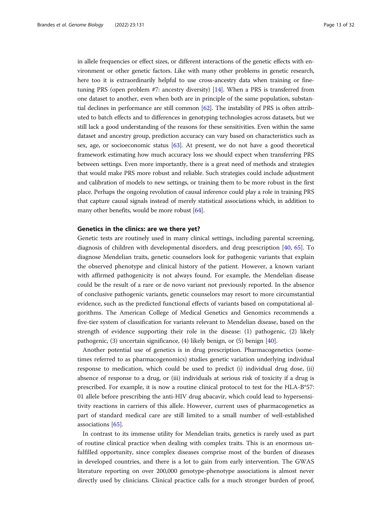in allele frequencies or effect sizes, or different interactions of the genetic effects with environment or other genetic factors. Like with many other problems in genetic research, here too it is extraordinarily helpful to use cross-ancestry data when training or finetuning PRS (open problem #7: ancestry diversity) [\[14\]](#page-28-0). When a PRS is transferred from one dataset to another, even when both are in principle of the same population, substantial declines in performance are still common [\[62\]](#page-30-0). The instability of PRS is often attributed to batch effects and to differences in genotyping technologies across datasets, but we still lack a good understanding of the reasons for these sensitivities. Even within the same dataset and ancestry group, prediction accuracy can vary based on characteristics such as sex, age, or socioeconomic status [\[63](#page-30-0)]. At present, we do not have a good theoretical framework estimating how much accuracy loss we should expect when transferring PRS between settings. Even more importantly, there is a great need of methods and strategies that would make PRS more robust and reliable. Such strategies could include adjustment and calibration of models to new settings, or training them to be more robust in the first place. Perhaps the ongoing revolution of causal inference could play a role in training PRS that capture causal signals instead of merely statistical associations which, in addition to many other benefits, would be more robust [\[64\]](#page-30-0).

### Genetics in the clinics: are we there yet?

Genetic tests are routinely used in many clinical settings, including parental screening, diagnosis of children with developmental disorders, and drug prescription [[40,](#page-29-0) [65](#page-30-0)]. To diagnose Mendelian traits, genetic counselors look for pathogenic variants that explain the observed phenotype and clinical history of the patient. However, a known variant with affirmed pathogenicity is not always found. For example, the Mendelian disease could be the result of a rare or de novo variant not previously reported. In the absence of conclusive pathogenic variants, genetic counselors may resort to more circumstantial evidence, such as the predicted functional effects of variants based on computational algorithms. The American College of Medical Genetics and Genomics recommends a five-tier system of classification for variants relevant to Mendelian disease, based on the strength of evidence supporting their role in the disease: (1) pathogenic, (2) likely pathogenic, (3) uncertain significance, (4) likely benign, or (5) benign [[40](#page-29-0)].

Another potential use of genetics is in drug prescription. Pharmacogenetics (sometimes referred to as pharmacogenomics) studies genetic variation underlying individual response to medication, which could be used to predict (i) individual drug dose, (ii) absence of response to a drug, or (iii) individuals at serious risk of toxicity if a drug is prescribed. For example, it is now a routine clinical protocol to test for the HLA-B\*57: 01 allele before prescribing the anti-HIV drug abacavir, which could lead to hypersensitivity reactions in carriers of this allele. However, current uses of pharmacogenetics as part of standard medical care are still limited to a small number of well-established associations [\[65](#page-30-0)].

In contrast to its immense utility for Mendelian traits, genetics is rarely used as part of routine clinical practice when dealing with complex traits. This is an enormous unfulfilled opportunity, since complex diseases comprise most of the burden of diseases in developed countries, and there is a lot to gain from early intervention. The GWAS literature reporting on over 200,000 genotype-phenotype associations is almost never directly used by clinicians. Clinical practice calls for a much stronger burden of proof,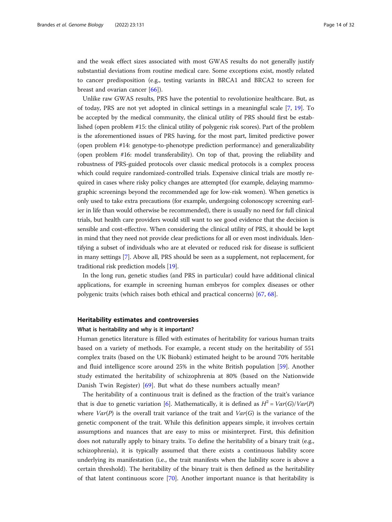and the weak effect sizes associated with most GWAS results do not generally justify substantial deviations from routine medical care. Some exceptions exist, mostly related to cancer predisposition (e.g., testing variants in BRCA1 and BRCA2 to screen for breast and ovarian cancer [[66\]](#page-30-0)).

Unlike raw GWAS results, PRS have the potential to revolutionize healthcare. But, as of today, PRS are not yet adopted in clinical settings in a meaningful scale [[7](#page-28-0), [19](#page-29-0)]. To be accepted by the medical community, the clinical utility of PRS should first be established (open problem #15: the clinical utility of polygenic risk scores). Part of the problem is the aforementioned issues of PRS having, for the most part, limited predictive power (open problem #14: genotype-to-phenotype prediction performance) and generalizability (open problem #16: model transferability). On top of that, proving the reliability and robustness of PRS-guided protocols over classic medical protocols is a complex process which could require randomized-controlled trials. Expensive clinical trials are mostly required in cases where risky policy changes are attempted (for example, delaying mammographic screenings beyond the recommended age for low-risk women). When genetics is only used to take extra precautions (for example, undergoing colonoscopy screening earlier in life than would otherwise be recommended), there is usually no need for full clinical trials, but health care providers would still want to see good evidence that the decision is sensible and cost-effective. When considering the clinical utility of PRS, it should be kept in mind that they need not provide clear predictions for all or even most individuals. Identifying a subset of individuals who are at elevated or reduced risk for disease is sufficient in many settings [\[7](#page-28-0)]. Above all, PRS should be seen as a supplement, not replacement, for traditional risk prediction models [[19](#page-29-0)].

In the long run, genetic studies (and PRS in particular) could have additional clinical applications, for example in screening human embryos for complex diseases or other polygenic traits (which raises both ethical and practical concerns) [\[67,](#page-30-0) [68\]](#page-30-0).

## Heritability estimates and controversies

#### What is heritability and why is it important?

Human genetics literature is filled with estimates of heritability for various human traits based on a variety of methods. For example, a recent study on the heritability of 551 complex traits (based on the UK Biobank) estimated height to be around 70% heritable and fluid intelligence score around 25% in the white British population [[59](#page-30-0)]. Another study estimated the heritability of schizophrenia at 80% (based on the Nationwide Danish Twin Register) [\[69](#page-30-0)]. But what do these numbers actually mean?

The heritability of a continuous trait is defined as the fraction of the trait's variance that is due to genetic variation [\[6](#page-28-0)]. Mathematically, it is defined as  $H^2 = Var(G)/Var(P)$ where  $Var(P)$  is the overall trait variance of the trait and  $Var(G)$  is the variance of the genetic component of the trait. While this definition appears simple, it involves certain assumptions and nuances that are easy to miss or misinterpret. First, this definition does not naturally apply to binary traits. To define the heritability of a binary trait (e.g., schizophrenia), it is typically assumed that there exists a continuous liability score underlying its manifestation (i.e., the trait manifests when the liability score is above a certain threshold). The heritability of the binary trait is then defined as the heritability of that latent continuous score [\[70\]](#page-30-0). Another important nuance is that heritability is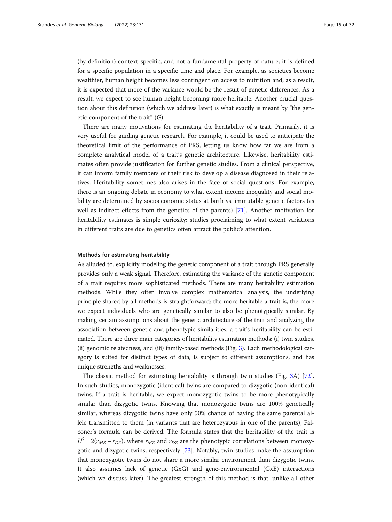(by definition) context-specific, and not a fundamental property of nature; it is defined for a specific population in a specific time and place. For example, as societies become wealthier, human height becomes less contingent on access to nutrition and, as a result, it is expected that more of the variance would be the result of genetic differences. As a result, we expect to see human height becoming more heritable. Another crucial question about this definition (which we address later) is what exactly is meant by "the genetic component of the trait"  $(G)$ .

There are many motivations for estimating the heritability of a trait. Primarily, it is very useful for guiding genetic research. For example, it could be used to anticipate the theoretical limit of the performance of PRS, letting us know how far we are from a complete analytical model of a trait's genetic architecture. Likewise, heritability estimates often provide justification for further genetic studies. From a clinical perspective, it can inform family members of their risk to develop a disease diagnosed in their relatives. Heritability sometimes also arises in the face of social questions. For example, there is an ongoing debate in economy to what extent income inequality and social mobility are determined by socioeconomic status at birth vs. immutable genetic factors (as well as indirect effects from the genetics of the parents) [[71\]](#page-30-0). Another motivation for heritability estimates is simple curiosity: studies proclaiming to what extent variations in different traits are due to genetics often attract the public's attention.

#### Methods for estimating heritability

As alluded to, explicitly modeling the genetic component of a trait through PRS generally provides only a weak signal. Therefore, estimating the variance of the genetic component of a trait requires more sophisticated methods. There are many heritability estimation methods. While they often involve complex mathematical analysis, the underlying principle shared by all methods is straightforward: the more heritable a trait is, the more we expect individuals who are genetically similar to also be phenotypically similar. By making certain assumptions about the genetic architecture of the trait and analyzing the association between genetic and phenotypic similarities, a trait's heritability can be estimated. There are three main categories of heritability estimation methods: (i) twin studies, (ii) genomic relatedness, and (iii) family-based methods (Fig. [3\)](#page-15-0). Each methodological category is suited for distinct types of data, is subject to different assumptions, and has unique strengths and weaknesses.

The classic method for estimating heritability is through twin studies (Fig. [3](#page-15-0)A) [[72](#page-30-0)]. In such studies, monozygotic (identical) twins are compared to dizygotic (non-identical) twins. If a trait is heritable, we expect monozygotic twins to be more phenotypically similar than dizygotic twins. Knowing that monozygotic twins are 100% genetically similar, whereas dizygotic twins have only 50% chance of having the same parental allele transmitted to them (in variants that are heterozygous in one of the parents), Falconer's formula can be derived. The formula states that the heritability of the trait is  $H^2 = 2(r_{MZ} - r_{DZ})$ , where  $r_{MZ}$  and  $r_{DZ}$  are the phenotypic correlations between monozygotic and dizygotic twins, respectively [\[73](#page-30-0)]. Notably, twin studies make the assumption that monozygotic twins do not share a more similar environment than dizygotic twins. It also assumes lack of genetic (GxG) and gene-environmental (GxE) interactions (which we discuss later). The greatest strength of this method is that, unlike all other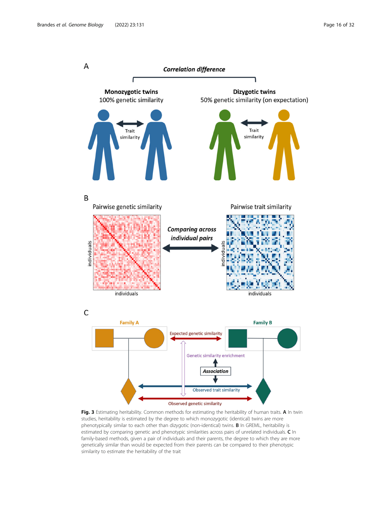<span id="page-15-0"></span>

Fig. 3 Estimating heritability. Common methods for estimating the heritability of human traits. A In twin studies, heritability is estimated by the degree to which monozygotic (identical) twins are more phenotypically similar to each other than dizygotic (non-identical) twins. **B** In GREML, heritability is estimated by comparing genetic and phenotypic similarities across pairs of unrelated individuals. C In family-based methods, given a pair of individuals and their parents, the degree to which they are more genetically similar than would be expected from their parents can be compared to their phenotypic similarity to estimate the heritability of the trait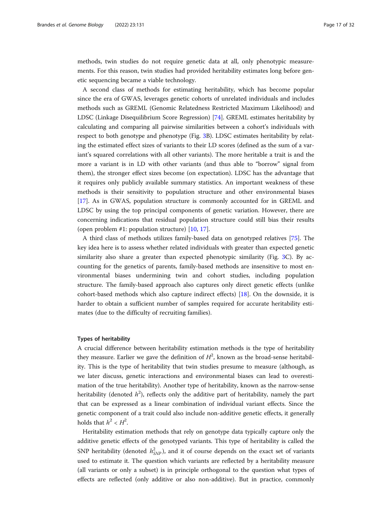methods, twin studies do not require genetic data at all, only phenotypic measurements. For this reason, twin studies had provided heritability estimates long before genetic sequencing became a viable technology.

A second class of methods for estimating heritability, which has become popular since the era of GWAS, leverages genetic cohorts of unrelated individuals and includes methods such as GREML (Genomic Relatedness Restricted Maximum Likelihood) and LDSC (Linkage Disequilibrium Score Regression) [[74\]](#page-30-0). GREML estimates heritability by calculating and comparing all pairwise similarities between a cohort's individuals with respect to both genotype and phenotype (Fig. [3](#page-15-0)B). LDSC estimates heritability by relating the estimated effect sizes of variants to their LD scores (defined as the sum of a variant's squared correlations with all other variants). The more heritable a trait is and the more a variant is in LD with other variants (and thus able to "borrow" signal from them), the stronger effect sizes become (on expectation). LDSC has the advantage that it requires only publicly available summary statistics. An important weakness of these methods is their sensitivity to population structure and other environmental biases [[17\]](#page-28-0). As in GWAS, population structure is commonly accounted for in GREML and LDSC by using the top principal components of genetic variation. However, there are concerning indications that residual population structure could still bias their results (open problem #1: population structure) [\[10,](#page-28-0) [17\]](#page-28-0).

A third class of methods utilizes family-based data on genotyped relatives [\[75](#page-30-0)]. The key idea here is to assess whether related individuals with greater than expected genetic similarity also share a greater than expected phenotypic similarity (Fig. [3](#page-15-0)C). By accounting for the genetics of parents, family-based methods are insensitive to most environmental biases undermining twin and cohort studies, including population structure. The family-based approach also captures only direct genetic effects (unlike cohort-based methods which also capture indirect effects) [[18\]](#page-29-0). On the downside, it is harder to obtain a sufficient number of samples required for accurate heritability estimates (due to the difficulty of recruiting families).

#### Types of heritability

A crucial difference between heritability estimation methods is the type of heritability they measure. Earlier we gave the definition of  $H^2$ , known as the broad-sense heritability. This is the type of heritability that twin studies presume to measure (although, as we later discuss, genetic interactions and environmental biases can lead to overestimation of the true heritability). Another type of heritability, known as the narrow-sense heritability (denoted  $h^2$ ), reflects only the additive part of heritability, namely the part that can be compared as a linear combination of individual constant of the Since the that can be expressed as a linear combination of individual variant effects. Since the genetic component of a trait could also include non-additive genetic effects, it generally holds that  $h^2 < H^2$ .

Heritability estimation methods that rely on genotype data typically capture only the additive genetic effects of the genotyped variants. This type of heritability is called the SNP heritability (denoted  $h_{SNP}^2$ ), and it of course depends on the exact set of variants used to estimate it. The question which variants are reflected by a heritability measure (all variants or only a subset) is in principle orthogonal to the question what types of effects are reflected (only additive or also non-additive). But in practice, commonly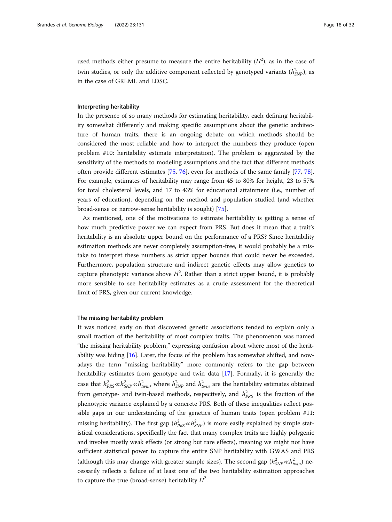used methods either presume to measure the entire heritability  $(H^2)$ , as in the case of twin studies, or only the additive component reflected by genotyped variants  $(h_{SNP}^2)$ , as in the case of GREML and LDSC.

# Interpreting heritability

In the presence of so many methods for estimating heritability, each defining heritability somewhat differently and making specific assumptions about the genetic architecture of human traits, there is an ongoing debate on which methods should be considered the most reliable and how to interpret the numbers they produce (open problem #10: heritability estimate interpretation). The problem is aggravated by the sensitivity of the methods to modeling assumptions and the fact that different methods often provide different estimates [\[75](#page-30-0), [76](#page-30-0)], even for methods of the same family [\[77](#page-30-0), [78](#page-30-0)]. For example, estimates of heritability may range from 45 to 80% for height, 23 to 57% for total cholesterol levels, and 17 to 43% for educational attainment (i.e., number of years of education), depending on the method and population studied (and whether broad-sense or narrow-sense heritability is sought) [\[75](#page-30-0)].

As mentioned, one of the motivations to estimate heritability is getting a sense of how much predictive power we can expect from PRS. But does it mean that a trait's heritability is an absolute upper bound on the performance of a PRS? Since heritability estimation methods are never completely assumption-free, it would probably be a mistake to interpret these numbers as strict upper bounds that could never be exceeded. Furthermore, population structure and indirect genetic effects may allow genetics to capture phenotypic variance above  $H^2$ . Rather than a strict upper bound, it is probably more sensible to see heritability estimates as a crude assessment for the theoretical limit of PRS, given our current knowledge.

#### The missing heritability problem

It was noticed early on that discovered genetic associations tended to explain only a small fraction of the heritability of most complex traits. The phenomenon was named "the missing heritability problem," expressing confusion about where most of the heritability was hiding [[16](#page-28-0)]. Later, the focus of the problem has somewhat shifted, and nowadays the term "missing heritability" more commonly refers to the gap between heritability estimates from genotype and twin data [[17](#page-28-0)]. Formally, it is generally the case that  $h_{PRS}^2 \ll h_{SNP}^2 \ll h_{twin}^2$ , where  $h_{SNP}^2$  and  $h_{twin}^2$  are the heritability estimates obtained from genotype- and twin-based methods, respectively, and  $h_{PRS}^2$  is the fraction of the phenotypic variance explained by a concrete PRS. Both of these inequalities reflect possible gaps in our understanding of the genetics of human traits (open problem #11: missing heritability). The first gap  $(h_{PRS}^2 \ll h_{SNP}^2)$  is more easily explained by simple statistical considerations, specifically the fact that many complex traits are highly polygenic and involve mostly weak effects (or strong but rare effects), meaning we might not have sufficient statistical power to capture the entire SNP heritability with GWAS and PRS (although this may change with greater sample sizes). The second gap  $(h_{SNP}^2 \ll h_{twin}^2)$  necessarily reflects a failure of at least one of the two heritability estimation approaches to capture the true (broad-sense) heritability  $H^2$ .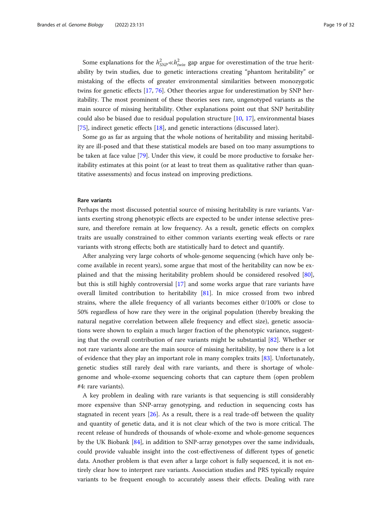Some explanations for the  $h_{SNP}^2 \ll h_{twin}^2$  gap argue for overestimation of the true heritability by twin studies, due to genetic interactions creating "phantom heritability" or mistaking of the effects of greater environmental similarities between monozygotic twins for genetic effects [\[17](#page-28-0), [76](#page-30-0)]. Other theories argue for underestimation by SNP heritability. The most prominent of these theories sees rare, ungenotyped variants as the main source of missing heritability. Other explanations point out that SNP heritability could also be biased due to residual population structure [\[10,](#page-28-0) [17\]](#page-28-0), environmental biases [[75\]](#page-30-0), indirect genetic effects [\[18](#page-29-0)], and genetic interactions (discussed later).

Some go as far as arguing that the whole notions of heritability and missing heritability are ill-posed and that these statistical models are based on too many assumptions to be taken at face value [\[79\]](#page-30-0). Under this view, it could be more productive to forsake heritability estimates at this point (or at least to treat them as qualitative rather than quantitative assessments) and focus instead on improving predictions.

# Rare variants

Perhaps the most discussed potential source of missing heritability is rare variants. Variants exerting strong phenotypic effects are expected to be under intense selective pressure, and therefore remain at low frequency. As a result, genetic effects on complex traits are usually constrained to either common variants exerting weak effects or rare variants with strong effects; both are statistically hard to detect and quantify.

After analyzing very large cohorts of whole-genome sequencing (which have only become available in recent years), some argue that most of the heritability can now be explained and that the missing heritability problem should be considered resolved [[80](#page-30-0)], but this is still highly controversial [[17](#page-28-0)] and some works argue that rare variants have overall limited contribution to heritability [\[81](#page-30-0)]. In mice crossed from two inbred strains, where the allele frequency of all variants becomes either 0/100% or close to 50% regardless of how rare they were in the original population (thereby breaking the natural negative correlation between allele frequency and effect size), genetic associations were shown to explain a much larger fraction of the phenotypic variance, suggesting that the overall contribution of rare variants might be substantial [[82\]](#page-30-0). Whether or not rare variants alone are the main source of missing heritability, by now there is a lot of evidence that they play an important role in many complex traits [\[83](#page-30-0)]. Unfortunately, genetic studies still rarely deal with rare variants, and there is shortage of wholegenome and whole-exome sequencing cohorts that can capture them (open problem #4: rare variants).

A key problem in dealing with rare variants is that sequencing is still considerably more expensive than SNP-array genotyping, and reduction in sequencing costs has stagnated in recent years [[26](#page-29-0)]. As a result, there is a real trade-off between the quality and quantity of genetic data, and it is not clear which of the two is more critical. The recent release of hundreds of thousands of whole-exome and whole-genome sequences by the UK Biobank [\[84\]](#page-30-0), in addition to SNP-array genotypes over the same individuals, could provide valuable insight into the cost-effectiveness of different types of genetic data. Another problem is that even after a large cohort is fully sequenced, it is not entirely clear how to interpret rare variants. Association studies and PRS typically require variants to be frequent enough to accurately assess their effects. Dealing with rare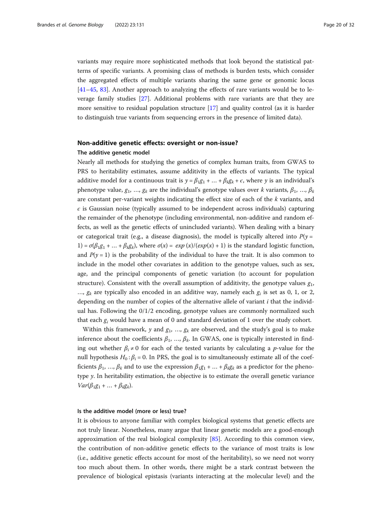variants may require more sophisticated methods that look beyond the statistical patterns of specific variants. A promising class of methods is burden tests, which consider the aggregated effects of multiple variants sharing the same gene or genomic locus [[41](#page-29-0)–[45](#page-29-0), [83\]](#page-30-0). Another approach to analyzing the effects of rare variants would be to leverage family studies [\[27](#page-29-0)]. Additional problems with rare variants are that they are more sensitive to residual population structure [\[17](#page-28-0)] and quality control (as it is harder to distinguish true variants from sequencing errors in the presence of limited data).

# Non-additive genetic effects: oversight or non-issue?

# The additive genetic model

Nearly all methods for studying the genetics of complex human traits, from GWAS to PRS to heritability estimates, assume additivity in the effects of variants. The typical additive model for a continuous trait is  $y = \beta_1 g_1 + ... + \beta_k g_k + \epsilon$ , where y is an individual's phenotype value,  $g_1$ , ...,  $g_k$  are the individual's genotype values over k variants,  $\beta_1$ , ...,  $\beta_k$ are constant per-variant weights indicating the effect size of each of the k variants, and  $\epsilon$  is Gaussian noise (typically assumed to be independent across individuals) capturing the remainder of the phenotype (including environmental, non-additive and random effects, as well as the genetic effects of unincluded variants). When dealing with a binary or categorical trait (e.g., a disease diagnosis), the model is typically altered into  $P(y =$ 1) =  $\sigma(\beta_1 g_1 + ... + \beta_k g_k)$ , where  $\sigma(x) = \exp(x)/(\exp(x) + 1)$  is the standard logistic function, and  $P(y = 1)$  is the probability of the individual to have the trait. It is also common to include in the model other covariates in addition to the genotype values, such as sex, age, and the principal components of genetic variation (to account for population structure). Consistent with the overall assumption of additivity, the genotype values  $g_1$ , ...,  $g_k$  are typically also encoded in an additive way, namely each  $g_i$  is set as 0, 1, or 2, depending on the number of copies of the alternative allele of variant  $i$  that the individual has. Following the 0/1/2 encoding, genotype values are commonly normalized such that each  $g_i$  would have a mean of 0 and standard deviation of 1 over the study cohort.

Within this framework, y and  $g_1$ , ...,  $g_k$  are observed, and the study's goal is to make inference about the coefficients  $\beta_1$ , ...,  $\beta_k$ . In GWAS, one is typically interested in finding out whether  $\beta_i \neq 0$  for each of the tested variants by calculating a *p*-value for the null hypothesis  $H_0: \beta_i = 0$ . In PRS, the goal is to simultaneously estimate all of the coefficients  $\beta_1$ , …,  $\beta_k$  and to use the expression  $\beta_1 g_1 + ... + \beta_k g_k$  as a predictor for the phenotype y. In heritability estimation, the objective is to estimate the overall genetic variance  $Var(\beta_1g_1 + ... + \beta_kg_k).$ 

#### Is the additive model (more or less) true?

It is obvious to anyone familiar with complex biological systems that genetic effects are not truly linear. Nonetheless, many argue that linear genetic models are a good-enough approximation of the real biological complexity [[85\]](#page-30-0). According to this common view, the contribution of non-additive genetic effects to the variance of most traits is low (i.e., additive genetic effects account for most of the heritability), so we need not worry too much about them. In other words, there might be a stark contrast between the prevalence of biological epistasis (variants interacting at the molecular level) and the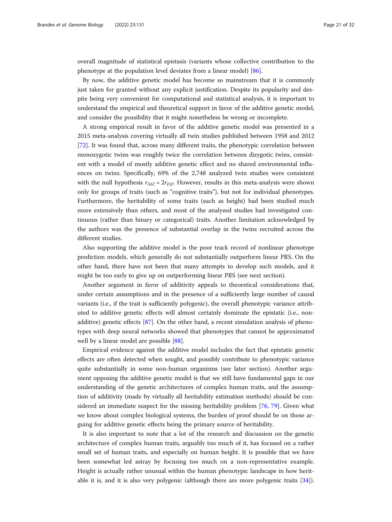overall magnitude of statistical epistasis (variants whose collective contribution to the phenotype at the population level deviates from a linear model) [\[86\]](#page-30-0).

By now, the additive genetic model has become so mainstream that it is commonly just taken for granted without any explicit justification. Despite its popularity and despite being very convenient for computational and statistical analysis, it is important to understand the empirical and theoretical support in favor of the additive genetic model, and consider the possibility that it might nonetheless be wrong or incomplete.

A strong empirical result in favor of the additive genetic model was presented in a 2015 meta-analysis covering virtually all twin studies published between 1958 and 2012 [[72\]](#page-30-0). It was found that, across many different traits, the phenotypic correlation between monozygotic twins was roughly twice the correlation between dizygotic twins, consistent with a model of mostly additive genetic effect and no shared environmental influences on twins. Specifically, 69% of the 2,748 analyzed twin studies were consistent with the null hypothesis  $r_{MZ} = 2r_{DZ}$ . However, results in this meta-analysis were shown only for groups of traits (such as "cognitive traits"), but not for individual phenotypes. Furthermore, the heritability of some traits (such as height) had been studied much more extensively than others, and most of the analyzed studies had investigated continuous (rather than binary or categorical) traits. Another limitation acknowledged by the authors was the presence of substantial overlap in the twins recruited across the different studies.

Also supporting the additive model is the poor track record of nonlinear phenotype prediction models, which generally do not substantially outperform linear PRS. On the other hand, there have not been that many attempts to develop such models, and it might be too early to give up on outperforming linear PRS (see next section).

Another argument in favor of additivity appeals to theoretical considerations that, under certain assumptions and in the presence of a sufficiently large number of causal variants (i.e., if the trait is sufficiently polygenic), the overall phenotypic variance attributed to additive genetic effects will almost certainly dominate the epistatic (i.e., nonadditive) genetic effects [\[87](#page-30-0)]. On the other hand, a recent simulation analysis of phenotypes with deep neural networks showed that phenotypes that cannot be approximated well by a linear model are possible [\[88\]](#page-30-0).

Empirical evidence against the additive model includes the fact that epistatic genetic effects are often detected when sought, and possibly contribute to phenotypic variance quite substantially in some non-human organisms (see later section). Another argument opposing the additive genetic model is that we still have fundamental gaps in our understanding of the genetic architectures of complex human traits, and the assumption of additivity (made by virtually all heritability estimation methods) should be considered an immediate suspect for the missing heritability problem [[76](#page-30-0), [79\]](#page-30-0). Given what we know about complex biological systems, the burden of proof should be on those arguing for additive genetic effects being the primary source of heritability.

It is also important to note that a lot of the research and discussion on the genetic architecture of complex human traits, arguably too much of it, has focused on a rather small set of human traits, and especially on human height. It is possible that we have been somewhat led astray by focusing too much on a non-representative example. Height is actually rather unusual within the human phenotypic landscape in how heritable it is, and it is also very polygenic (although there are more polygenic traits [\[34](#page-29-0)]).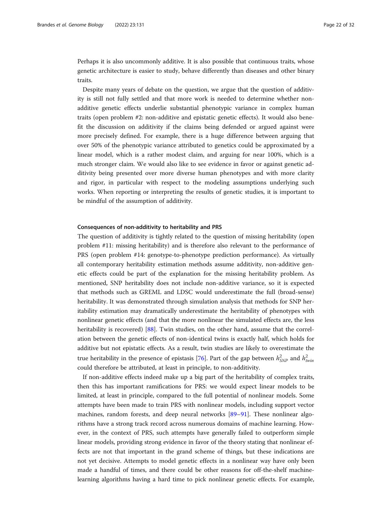Perhaps it is also uncommonly additive. It is also possible that continuous traits, whose genetic architecture is easier to study, behave differently than diseases and other binary traits.

Despite many years of debate on the question, we argue that the question of additivity is still not fully settled and that more work is needed to determine whether nonadditive genetic effects underlie substantial phenotypic variance in complex human traits (open problem #2: non-additive and epistatic genetic effects). It would also benefit the discussion on additivity if the claims being defended or argued against were more precisely defined. For example, there is a huge difference between arguing that over 50% of the phenotypic variance attributed to genetics could be approximated by a linear model, which is a rather modest claim, and arguing for near 100%, which is a much stronger claim. We would also like to see evidence in favor or against genetic additivity being presented over more diverse human phenotypes and with more clarity and rigor, in particular with respect to the modeling assumptions underlying such works. When reporting or interpreting the results of genetic studies, it is important to be mindful of the assumption of additivity.

#### Consequences of non-additivity to heritability and PRS

The question of additivity is tightly related to the question of missing heritability (open problem #11: missing heritability) and is therefore also relevant to the performance of PRS (open problem #14: genotype-to-phenotype prediction performance). As virtually all contemporary heritability estimation methods assume additivity, non-additive genetic effects could be part of the explanation for the missing heritability problem. As mentioned, SNP heritability does not include non-additive variance, so it is expected that methods such as GREML and LDSC would underestimate the full (broad-sense) heritability. It was demonstrated through simulation analysis that methods for SNP heritability estimation may dramatically underestimate the heritability of phenotypes with nonlinear genetic effects (and that the more nonlinear the simulated effects are, the less heritability is recovered) [[88\]](#page-30-0). Twin studies, on the other hand, assume that the correlation between the genetic effects of non-identical twins is exactly half, which holds for additive but not epistatic effects. As a result, twin studies are likely to overestimate the true heritability in the presence of epistasis [[76\]](#page-30-0). Part of the gap between  $h_{SNP}^2$  and  $h_t^2$ could therefore be attributed, at least in principle, to non-additivity.

If non-additive effects indeed make up a big part of the heritability of complex traits, then this has important ramifications for PRS: we would expect linear models to be limited, at least in principle, compared to the full potential of nonlinear models. Some attempts have been made to train PRS with nonlinear models, including support vector machines, random forests, and deep neural networks [\[89](#page-30-0)–[91\]](#page-31-0). These nonlinear algorithms have a strong track record across numerous domains of machine learning. However, in the context of PRS, such attempts have generally failed to outperform simple linear models, providing strong evidence in favor of the theory stating that nonlinear effects are not that important in the grand scheme of things, but these indications are not yet decisive. Attempts to model genetic effects in a nonlinear way have only been made a handful of times, and there could be other reasons for off-the-shelf machinelearning algorithms having a hard time to pick nonlinear genetic effects. For example,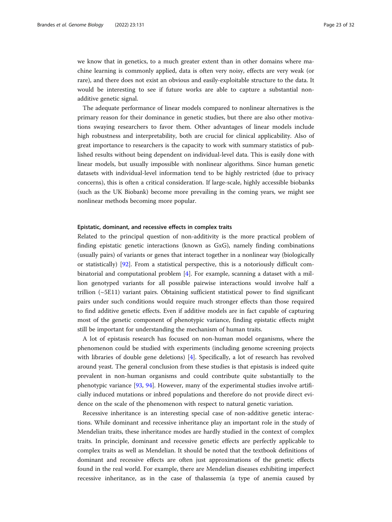we know that in genetics, to a much greater extent than in other domains where machine learning is commonly applied, data is often very noisy, effects are very weak (or rare), and there does not exist an obvious and easily-exploitable structure to the data. It would be interesting to see if future works are able to capture a substantial nonadditive genetic signal.

The adequate performance of linear models compared to nonlinear alternatives is the primary reason for their dominance in genetic studies, but there are also other motivations swaying researchers to favor them. Other advantages of linear models include high robustness and interpretability, both are crucial for clinical applicability. Also of great importance to researchers is the capacity to work with summary statistics of published results without being dependent on individual-level data. This is easily done with linear models, but usually impossible with nonlinear algorithms. Since human genetic datasets with individual-level information tend to be highly restricted (due to privacy concerns), this is often a critical consideration. If large-scale, highly accessible biobanks (such as the UK Biobank) become more prevailing in the coming years, we might see nonlinear methods becoming more popular.

#### Epistatic, dominant, and recessive effects in complex traits

Related to the principal question of non-additivity is the more practical problem of finding epistatic genetic interactions (known as GxG), namely finding combinations (usually pairs) of variants or genes that interact together in a nonlinear way (biologically or statistically) [[92](#page-31-0)]. From a statistical perspective, this is a notoriously difficult combinatorial and computational problem [[4\]](#page-28-0). For example, scanning a dataset with a million genotyped variants for all possible pairwise interactions would involve half a trillion (~5E11) variant pairs. Obtaining sufficient statistical power to find significant pairs under such conditions would require much stronger effects than those required to find additive genetic effects. Even if additive models are in fact capable of capturing most of the genetic component of phenotypic variance, finding epistatic effects might still be important for understanding the mechanism of human traits.

A lot of epistasis research has focused on non-human model organisms, where the phenomenon could be studied with experiments (including genome screening projects with libraries of double gene deletions) [\[4](#page-28-0)]. Specifically, a lot of research has revolved around yeast. The general conclusion from these studies is that epistasis is indeed quite prevalent in non-human organisms and could contribute quite substantially to the phenotypic variance [\[93](#page-31-0), [94](#page-31-0)]. However, many of the experimental studies involve artificially induced mutations or inbred populations and therefore do not provide direct evidence on the scale of the phenomenon with respect to natural genetic variation.

Recessive inheritance is an interesting special case of non-additive genetic interactions. While dominant and recessive inheritance play an important role in the study of Mendelian traits, these inheritance modes are hardly studied in the context of complex traits. In principle, dominant and recessive genetic effects are perfectly applicable to complex traits as well as Mendelian. It should be noted that the textbook definitions of dominant and recessive effects are often just approximations of the genetic effects found in the real world. For example, there are Mendelian diseases exhibiting imperfect recessive inheritance, as in the case of thalassemia (a type of anemia caused by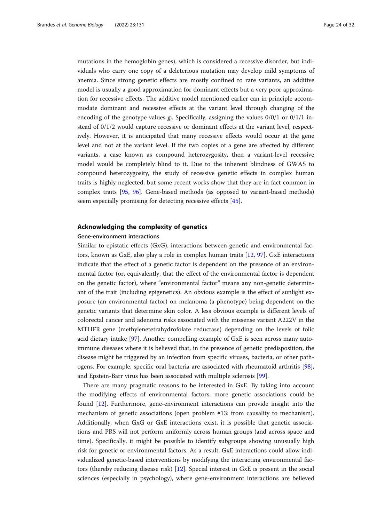mutations in the hemoglobin genes), which is considered a recessive disorder, but individuals who carry one copy of a deleterious mutation may develop mild symptoms of anemia. Since strong genetic effects are mostly confined to rare variants, an additive model is usually a good approximation for dominant effects but a very poor approximation for recessive effects. The additive model mentioned earlier can in principle accommodate dominant and recessive effects at the variant level through changing of the encoding of the genotype values  $g_i$ . Specifically, assigning the values  $0/0/1$  or  $0/1/1$  instead of 0/1/2 would capture recessive or dominant effects at the variant level, respectively. However, it is anticipated that many recessive effects would occur at the gene level and not at the variant level. If the two copies of a gene are affected by different variants, a case known as compound heterozygosity, then a variant-level recessive model would be completely blind to it. Due to the inherent blindness of GWAS to compound heterozygosity, the study of recessive genetic effects in complex human traits is highly neglected, but some recent works show that they are in fact common in complex traits [\[95,](#page-31-0) [96](#page-31-0)]. Gene-based methods (as opposed to variant-based methods) seem especially promising for detecting recessive effects [[45\]](#page-29-0).

# Acknowledging the complexity of genetics

#### Gene-environment interactions

Similar to epistatic effects (GxG), interactions between genetic and environmental factors, known as GxE, also play a role in complex human traits [[12,](#page-28-0) [97\]](#page-31-0). GxE interactions indicate that the effect of a genetic factor is dependent on the presence of an environmental factor (or, equivalently, that the effect of the environmental factor is dependent on the genetic factor), where "environmental factor" means any non-genetic determinant of the trait (including epigenetics). An obvious example is the effect of sunlight exposure (an environmental factor) on melanoma (a phenotype) being dependent on the genetic variants that determine skin color. A less obvious example is different levels of colorectal cancer and adenoma risks associated with the missense variant A222V in the MTHFR gene (methylenetetrahydrofolate reductase) depending on the levels of folic acid dietary intake [\[97](#page-31-0)]. Another compelling example of GxE is seen across many autoimmune diseases where it is believed that, in the presence of genetic predisposition, the disease might be triggered by an infection from specific viruses, bacteria, or other pathogens. For example, specific oral bacteria are associated with rheumatoid arthritis [[98](#page-31-0)], and Epstein-Barr virus has been associated with multiple sclerosis [\[99](#page-31-0)].

There are many pragmatic reasons to be interested in GxE. By taking into account the modifying effects of environmental factors, more genetic associations could be found [\[12\]](#page-28-0). Furthermore, gene-environment interactions can provide insight into the mechanism of genetic associations (open problem #13: from causality to mechanism). Additionally, when GxG or GxE interactions exist, it is possible that genetic associations and PRS will not perform uniformly across human groups (and across space and time). Specifically, it might be possible to identify subgroups showing unusually high risk for genetic or environmental factors. As a result, GxE interactions could allow individualized genetic-based interventions by modifying the interacting environmental factors (thereby reducing disease risk) [[12](#page-28-0)]. Special interest in GxE is present in the social sciences (especially in psychology), where gene-environment interactions are believed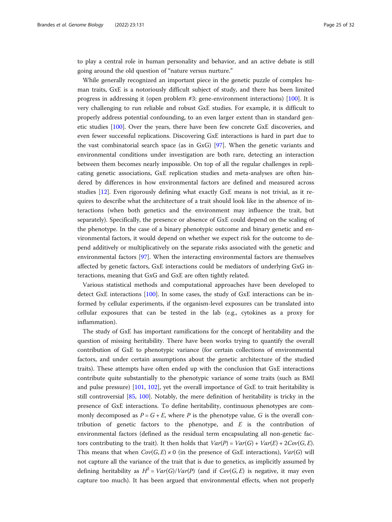to play a central role in human personality and behavior, and an active debate is still going around the old question of "nature versus nurture."

While generally recognized an important piece in the genetic puzzle of complex human traits, GxE is a notoriously difficult subject of study, and there has been limited progress in addressing it (open problem #3: gene-environment interactions) [[100\]](#page-31-0). It is very challenging to run reliable and robust GxE studies. For example, it is difficult to properly address potential confounding, to an even larger extent than in standard genetic studies [\[100](#page-31-0)]. Over the years, there have been few concrete GxE discoveries, and even fewer successful replications. Discovering GxE interactions is hard in part due to the vast combinatorial search space (as in GxG) [\[97](#page-31-0)]. When the genetic variants and environmental conditions under investigation are both rare, detecting an interaction between them becomes nearly impossible. On top of all the regular challenges in replicating genetic associations, GxE replication studies and meta-analyses are often hindered by differences in how environmental factors are defined and measured across studies [\[12\]](#page-28-0). Even rigorously defining what exactly GxE means is not trivial, as it requires to describe what the architecture of a trait should look like in the absence of interactions (when both genetics and the environment may influence the trait, but separately). Specifically, the presence or absence of GxE could depend on the scaling of the phenotype. In the case of a binary phenotypic outcome and binary genetic and environmental factors, it would depend on whether we expect risk for the outcome to depend additively or multiplicatively on the separate risks associated with the genetic and environmental factors [[97\]](#page-31-0). When the interacting environmental factors are themselves affected by genetic factors, GxE interactions could be mediators of underlying GxG interactions, meaning that GxG and GxE are often tightly related.

Various statistical methods and computational approaches have been developed to detect GxE interactions [[100\]](#page-31-0). In some cases, the study of GxE interactions can be informed by cellular experiments, if the organism-level exposures can be translated into cellular exposures that can be tested in the lab (e.g., cytokines as a proxy for inflammation).

The study of GxE has important ramifications for the concept of heritability and the question of missing heritability. There have been works trying to quantify the overall contribution of GxE to phenotypic variance (for certain collections of environmental factors, and under certain assumptions about the genetic architecture of the studied traits). These attempts have often ended up with the conclusion that GxE interactions contribute quite substantially to the phenotypic variance of some traits (such as BMI and pulse pressure) [\[101](#page-31-0), [102](#page-31-0)], yet the overall importance of GxE to trait heritability is still controversial [[85](#page-30-0), [100\]](#page-31-0). Notably, the mere definition of heritability is tricky in the presence of GxE interactions. To define heritability, continuous phenotypes are commonly decomposed as  $P = G + E$ , where P is the phenotype value, G is the overall contribution of genetic factors to the phenotype, and  $E$  is the contribution of environmental factors (defined as the residual term encapsulating all non-genetic factors contributing to the trait). It then holds that  $Var(P) = Var(G) + Var(E) + 2Cov(G, E)$ . This means that when  $Cov(G, E) \neq 0$  (in the presence of GxE interactions),  $Var(G)$  will not capture all the variance of the trait that is due to genetics, as implicitly assumed by defining heritability as  $H^2 = Var(G)/Var(P)$  (and if  $Cov(G, E)$  is negative, it may even capture too much). It has been argued that environmental effects, when not properly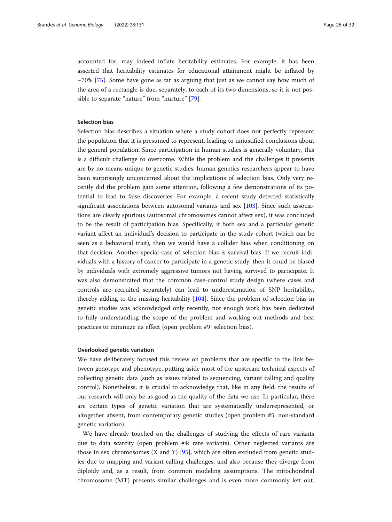accounted for, may indeed inflate heritability estimates. For example, it has been asserted that heritability estimates for educational attainment might be inflated by  $\sim$ 70% [\[75\]](#page-30-0). Some have gone as far as arguing that just as we cannot say how much of the area of a rectangle is due, separately, to each of its two dimensions, so it is not possible to separate "nature" from "nurture" [\[79\]](#page-30-0).

# Selection bias

Selection bias describes a situation where a study cohort does not perfectly represent the population that it is presumed to represent, leading to unjustified conclusions about the general population. Since participation in human studies is generally voluntary, this is a difficult challenge to overcome. While the problem and the challenges it presents are by no means unique to genetic studies, human genetics researchers appear to have been surprisingly unconcerned about the implications of selection bias. Only very recently did the problem gain some attention, following a few demonstrations of its potential to lead to false discoveries. For example, a recent study detected statistically significant associations between autosomal variants and sex [\[103](#page-31-0)]. Since such associations are clearly spurious (autosomal chromosomes cannot affect sex), it was concluded to be the result of participation bias. Specifically, if both sex and a particular genetic variant affect an individual's decision to participate in the study cohort (which can be seen as a behavioral trait), then we would have a collider bias when conditioning on that decision. Another special case of selection bias is survival bias. If we recruit individuals with a history of cancer to participate in a genetic study, then it could be biased by individuals with extremely aggressive tumors not having survived to participate. It was also demonstrated that the common case-control study design (where cases and controls are recruited separately) can lead to underestimation of SNP heritability, thereby adding to the missing heritability [\[104\]](#page-31-0). Since the problem of selection bias in genetic studies was acknowledged only recently, not enough work has been dedicated to fully understanding the scope of the problem and working out methods and best practices to minimize its effect (open problem #9: selection bias).

#### Overlooked genetic variation

We have deliberately focused this review on problems that are specific to the link between genotype and phenotype, putting aside most of the upstream technical aspects of collecting genetic data (such as issues related to sequencing, variant calling and quality control). Nonetheless, it is crucial to acknowledge that, like in any field, the results of our research will only be as good as the quality of the data we use. In particular, there are certain types of genetic variation that are systematically underrepresented, or altogether absent, from contemporary genetic studies (open problem #5: non-standard genetic variation).

We have already touched on the challenges of studying the effects of rare variants due to data scarcity (open problem #4: rare variants). Other neglected variants are those in sex chromosomes (X and Y) [[95](#page-31-0)], which are often excluded from genetic studies due to mapping and variant calling challenges, and also because they diverge from diploidy and, as a result, from common modeling assumptions. The mitochondrial chromosome (MT) presents similar challenges and is even more commonly left out.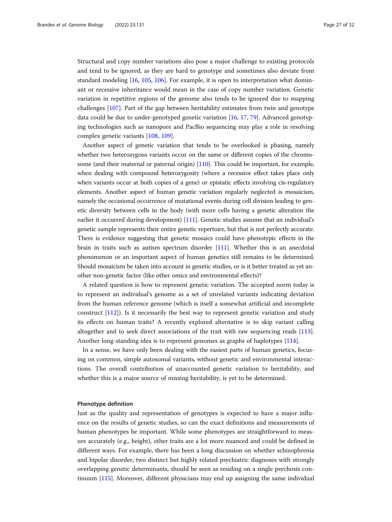Structural and copy number variations also pose a major challenge to existing protocols and tend to be ignored, as they are hard to genotype and sometimes also deviate from standard modeling [\[16,](#page-28-0) [105,](#page-31-0) [106](#page-31-0)]. For example, it is open to interpretation what dominant or recessive inheritance would mean in the case of copy number variation. Genetic variation in repetitive regions of the genome also tends to be ignored due to mapping challenges [[107\]](#page-31-0). Part of the gap between heritability estimates from twin and genotype data could be due to under-genotyped genetic variation [[16](#page-28-0), [17](#page-28-0), [79](#page-30-0)]. Advanced genotyping technologies such as nanopore and PacBio sequencing may play a role in resolving complex genetic variants [\[108,](#page-31-0) [109\]](#page-31-0).

Another aspect of genetic variation that tends to be overlooked is phasing, namely whether two heterozygous variants occur on the same or different copies of the chromosome (and their maternal or paternal origin) [\[110\]](#page-31-0). This could be important, for example, when dealing with compound heterozygosity (where a recessive effect takes place only when variants occur at both copies of a gene) or epistatic effects involving cis-regulatory elements. Another aspect of human genetic variation regularly neglected is mosaicism, namely the occasional occurrence of mutational events during cell division leading to genetic diversity between cells in the body (with more cells having a genetic alteration the earlier it occurred during development) [\[111\]](#page-31-0). Genetic studies assume that an individual's genetic sample represents their entire genetic repertoire, but that is not perfectly accurate. There is evidence suggesting that genetic mosaics could have phenotypic effects in the brain in traits such as autism spectrum disorder [[111\]](#page-31-0). Whether this is an anecdotal phenomenon or an important aspect of human genetics still remains to be determined. Should mosaicism be taken into account in genetic studies, or is it better treated as yet another non-genetic factor (like other omics and environmental effects)?

A related question is how to represent genetic variation. The accepted norm today is to represent an individual's genome as a set of unrelated variants indicating deviation from the human reference genome (which is itself a somewhat artificial and incomplete construct [[112\]](#page-31-0)). Is it necessarily the best way to represent genetic variation and study its effects on human traits? A recently explored alternative is to skip variant calling altogether and to seek direct associations of the trait with raw sequencing reads [[113](#page-31-0)]. Another long-standing idea is to represent genomes as graphs of haplotypes [\[114](#page-31-0)].

In a sense, we have only been dealing with the easiest parts of human genetics, focusing on common, simple autosomal variants, without genetic and environmental interactions. The overall contribution of unaccounted genetic variation to heritability, and whether this is a major source of missing heritability, is yet to be determined.

# Phenotype definition

Just as the quality and representation of genotypes is expected to have a major influence on the results of genetic studies, so can the exact definitions and measurements of human phenotypes be important. While some phenotypes are straightforward to measure accurately (e.g., height), other traits are a lot more nuanced and could be defined in different ways. For example, there has been a long discussion on whether schizophrenia and bipolar disorder, two distinct but highly related psychiatric diagnoses with strongly overlapping genetic determinants, should be seen as residing on a single psychosis continuum [[115\]](#page-31-0). Moreover, different physicians may end up assigning the same individual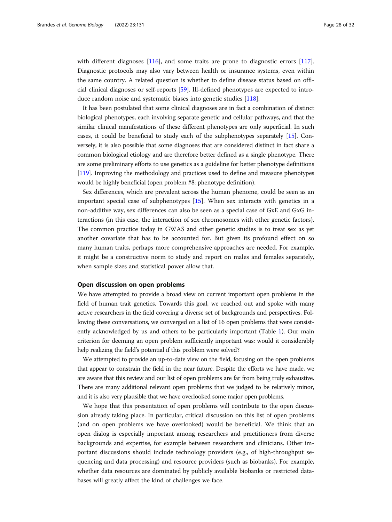with different diagnoses [\[116\]](#page-31-0), and some traits are prone to diagnostic errors [[117](#page-31-0)]. Diagnostic protocols may also vary between health or insurance systems, even within the same country. A related question is whether to define disease status based on official clinical diagnoses or self-reports [\[59](#page-30-0)]. Ill-defined phenotypes are expected to introduce random noise and systematic biases into genetic studies [[118](#page-31-0)].

It has been postulated that some clinical diagnoses are in fact a combination of distinct biological phenotypes, each involving separate genetic and cellular pathways, and that the similar clinical manifestations of these different phenotypes are only superficial. In such cases, it could be beneficial to study each of the subphenotypes separately [\[15\]](#page-28-0). Conversely, it is also possible that some diagnoses that are considered distinct in fact share a common biological etiology and are therefore better defined as a single phenotype. There are some preliminary efforts to use genetics as a guideline for better phenotype definitions [[119](#page-31-0)]. Improving the methodology and practices used to define and measure phenotypes would be highly beneficial (open problem #8: phenotype definition).

Sex differences, which are prevalent across the human phenome, could be seen as an important special case of subphenotypes [\[15\]](#page-28-0). When sex interacts with genetics in a non-additive way, sex differences can also be seen as a special case of GxE and GxG interactions (in this case, the interaction of sex chromosomes with other genetic factors). The common practice today in GWAS and other genetic studies is to treat sex as yet another covariate that has to be accounted for. But given its profound effect on so many human traits, perhaps more comprehensive approaches are needed. For example, it might be a constructive norm to study and report on males and females separately, when sample sizes and statistical power allow that.

# Open discussion on open problems

We have attempted to provide a broad view on current important open problems in the field of human trait genetics. Towards this goal, we reached out and spoke with many active researchers in the field covering a diverse set of backgrounds and perspectives. Following these conversations, we converged on a list of 16 open problems that were consistently acknowledged by us and others to be particularly important (Table [1\)](#page-3-0). Our main criterion for deeming an open problem sufficiently important was: would it considerably help realizing the field's potential if this problem were solved?

We attempted to provide an up-to-date view on the field, focusing on the open problems that appear to constrain the field in the near future. Despite the efforts we have made, we are aware that this review and our list of open problems are far from being truly exhaustive. There are many additional relevant open problems that we judged to be relatively minor, and it is also very plausible that we have overlooked some major open problems.

We hope that this presentation of open problems will contribute to the open discussion already taking place. In particular, critical discussion on this list of open problems (and on open problems we have overlooked) would be beneficial. We think that an open dialog is especially important among researchers and practitioners from diverse backgrounds and expertise, for example between researchers and clinicians. Other important discussions should include technology providers (e.g., of high-throughput sequencing and data processing) and resource providers (such as biobanks). For example, whether data resources are dominated by publicly available biobanks or restricted databases will greatly affect the kind of challenges we face.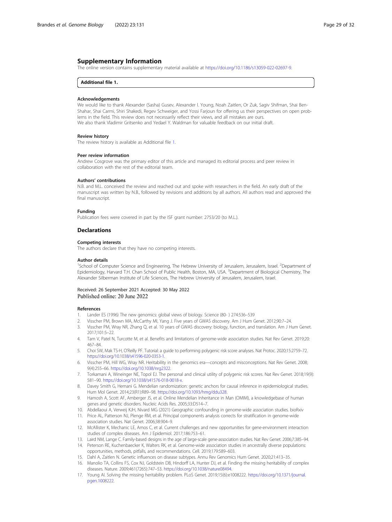# <span id="page-28-0"></span>Supplementary Information

The online version contains supplementary material available at [https://doi.org/10.1186/s13059-022-02697-9.](https://doi.org/10.1186/s13059-022-02697-9)

#### Additional file 1.

#### Acknowledgements

We would like to thank Alexander (Sasha) Gusev, Alexander l. Young, Noah Zaitlen, Or Zuk, Sagiv Shifman, Shai Ben-Shahar, Shai Carmi, Shiri Shakedi, Regev Schweiger, and Yossi Farjoun for offering us their perspectives on open problems in the field. This review does not necessarily reflect their views, and all mistakes are ours. We also thank Vladimir Gritsenko and Yedael Y. Waldman for valuable feedback on our initial draft.

#### Review history

The review history is available as Additional file 1.

#### Peer review information

Andrew Cosgrove was the primary editor of this article and managed its editorial process and peer review in collaboration with the rest of the editorial team.

#### Authors' contributions

N.B. and M.L. conceived the review and reached out and spoke with researchers in the field. An early draft of the manuscript was written by N.B., followed by revisions and additions by all authors. All authors read and approved the final manuscript.

#### Funding

Publication fees were covered in part by the ISF grant number: 2753/20 (to M.L.).

#### Declarations

#### Competing interests

The authors declare that they have no competing interests.

#### Author details

<sup>1</sup>School of Computer Science and Engineering, The Hebrew University of Jerusalem, Jerusalem, Israel. <sup>2</sup>Department of Epidemiology, Harvard T.H. Chan School of Public Health, Boston, MA, USA. <sup>3</sup>Department of Biological Chemistry, The Alexander Silberman Institute of Life Sciences, The Hebrew University of Jerusalem, Jerusalem, Israel.

#### Received: 26 September 2021 Accepted: 30 May 2022 Published online: 20 June 2022

#### References

- 1. Lander ES (1996) The new genomics: global views of biology. Science (80- ) 274:536–539
- 2. Visscher PM, Brown MA, McCarthy MI, Yang J. Five years of GWAS discovery. Am J Hum Genet. 2012;90:7–24.
- 3. Visscher PM, Wray NR, Zhang Q, et al. 10 years of GWAS discovery: biology, function, and translation. Am J Hum Genet. 2017;101:5–22.
- 4. Tam V, Patel N, Turcotte M, et al. Benefits and limitations of genome-wide association studies. Nat Rev Genet. 2019;20: 467–84.
- 5. Choi SW, Mak TS-H, O'Reilly PF. Tutorial: a guide to performing polygenic risk score analyses. Nat Protoc. 2020;15:2759–72. <https://doi.org/10.1038/s41596-020-0353-1>.
- 6. Visscher PM, Hill WG, Wray NR. Heritability in the genomics era—concepts and misconceptions. Nat Rev Genet. 2008; 9(4):255–66. [https://doi.org/10.1038/nrg2322.](https://doi.org/10.1038/nrg2322)
- 7. Torkamani A, Wineinger NE, Topol EJ. The personal and clinical utility of polygenic risk scores. Nat Rev Genet. 2018;19(9): 581–90. [https://doi.org/10.1038/s41576-018-0018-x.](https://doi.org/10.1038/s41576-018-0018-x)
- 8. Davey Smith G, Hemani G. Mendelian randomization: genetic anchors for causal inference in epidemiological studies. Hum Mol Genet. 2014;23(R1):R89–98. <https://doi.org/10.1093/hmg/ddu328>.
- 9. Hamosh A, Scott AF, Amberger JS, et al. Online Mendelian Inheritance in Man (OMIM), a knowledgebase of human genes and genetic disorders. Nucleic Acids Res. 2005;33:D514–7.
- 10. Abdellaoui A, Verweij KJH, Nivard MG (2021) Geographic confounding in genome-wide association studies. bioRxiv 11. Price AL, Patterson NJ, Plenge RM, et al. Principal components analysis corrects for stratification in genome-wide association studies. Nat Genet. 2006;38:904–9.
- 12. McAllister K, Mechanic LE, Amos C, et al. Current challenges and new opportunities for gene-environment interaction studies of complex diseases. Am J Epidemiol. 2017;186:753–61.
- 13. Laird NM, Lange C. Family-based designs in the age of large-scale gene-association studies. Nat Rev Genet. 2006;7:385–94.
- 14. Peterson RE, Kuchenbaecker K, Walters RK, et al. Genome-wide association studies in ancestrally diverse populations: opportunities, methods, pitfalls, and recommendations. Cell. 2019;179:589–603.
- 15. Dahl A, Zaitlen N. Genetic influences on disease subtypes. Annu Rev Genomics Hum Genet. 2020;21:413–35.
- 16. Manolio TA, Collins FS, Cox NJ, Goldstein DB, Hindorff LA, Hunter DJ, et al. Finding the missing heritability of complex diseases. Nature. 2009;461(7265):747–53. [https://doi.org/10.1038/nature08494.](https://doi.org/10.1038/nature08494)
- 17. Young AI. Solving the missing heritability problem. PLoS Genet. 2019;15(6):e1008222. [https://doi.org/10.1371/journal.](https://doi.org/10.1371/journal.pgen.1008222) [pgen.1008222.](https://doi.org/10.1371/journal.pgen.1008222)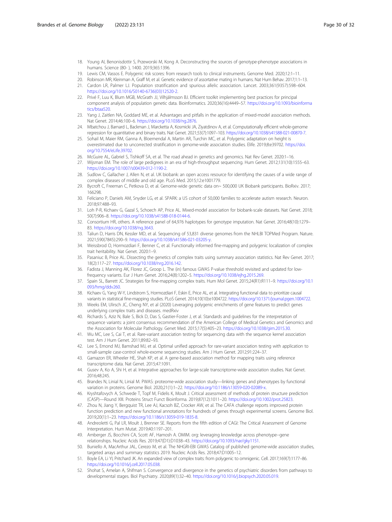- <span id="page-29-0"></span>18. Young AI, Benonisdottir S, Przeworski M, Kong A. Deconstructing the sources of genotype-phenotype associations in humans. Science (80- ), 1400. 2019;365:1396.
- 19. Lewis CM, Vassos E. Polygenic risk scores: from research tools to clinical instruments. Genome Med. 2020;12:1–11.
- 20. Robinson MR, Kleinman A, Graff M, et al. Genetic evidence of assortative mating in humans. Nat Hum Behav. 2017;1:1–13. 21. Cardon LR, Palmer LJ. Population stratification and spurious allelic association. Lancet. 2003;361(9357):598–604.
- [https://doi.org/10.1016/S0140-6736\(03\)12520-2.](https://doi.org/10.1016/S0140-6736(03)12520-2)
- 22. Privé F, Luu K, Blum MGB, McGrath JJ, Vilhjálmsson BJ. Efficient toolkit implementing best practices for principal component analysis of population genetic data. Bioinformatics. 2020;36(16):4449–57. [https://doi.org/10.1093/bioinforma](https://doi.org/10.1093/bioinformatics/btaa520) [tics/btaa520](https://doi.org/10.1093/bioinformatics/btaa520).
- 23. Yang J, Zaitlen NA, Goddard ME, et al. Advantages and pitfalls in the application of mixed-model association methods. Nat Genet. 2014;46:100–6. <https://doi.org/10.1038/ng.2876>.
- 24. Mbatchou J, Barnard L, Backman J, Marcketta A, Kosmicki JA, Ziyatdinov A, et al. Computationally efficient whole-genome regression for quantitative and binary traits. Nat Genet. 2021;53(7):1097–103. <https://doi.org/10.1038/s41588-021-00870-7>.
- 25. Sohail M, Maier RM, Ganna A, Bloemendal A, Martin AR, Turchin MC, et al. Polygenic adaptation on height is overestimated due to uncorrected stratification in genome-wide association studies. Elife. 2019;8:e39702. [https://doi.](https://doi.org/10.7554/eLife.39702) [org/10.7554/eLife.39702.](https://doi.org/10.7554/eLife.39702)
- 26. McGuire AL, Gabriel S, Tishkoff SA, et al. The road ahead in genetics and genomics. Nat Rev Genet. 2020:1–16.
- 27. Wijsman EM. The role of large pedigrees in an era of high-throughput sequencing. Hum Genet. 2012;131(10):1555–63. <https://doi.org/10.1007/s00439-012-1190-2>.
- 28. Sudlow C, Gallacher J, Allen N, et al. UK biobank: an open access resource for identifying the causes of a wide range of complex diseases of middle and old age. PLoS Med. 2015;12:e1001779.
- 29. Bycroft C, Freeman C, Petkova D, et al. Genome-wide genetic data on~ 500,000 UK Biobank participants. BioRxiv. 2017; 166298.
- 30. Feliciano P, Daniels AM, Snyder LG, et al. SPARK: a US cohort of 50,000 families to accelerate autism research. Neuron. 2018;97:488–93.
- 31. Loh P-R, Kichaev G, Gazal S, Schoech AP, Price AL. Mixed-model association for biobank-scale datasets. Nat Genet. 2018; 50(7):906–8. [https://doi.org/10.1038/s41588-018-0144-6.](https://doi.org/10.1038/s41588-018-0144-6)
- 32. Consortium HR, others. A reference panel of 64,976 haplotypes for genotype imputation. Nat Genet. 2016;48(10):1279– 83. <https://doi.org/10.1038/ng.3643>.
- 33. Taliun D, Harris DN, Kessler MD, et al. Sequencing of 53,831 diverse genomes from the NHLBI TOPMed Program. Nature. 2021;590(7845):290–9. <https://doi.org/10.1038/s41586-021-03205-y>.
- 34. Weissbrod O, Hormozdiari F, Benner C, et al. Functionally informed fine-mapping and polygenic localization of complex trait heritability. Nat Genet. 2020:1–9.
- 35. Pasaniuc B, Price AL. Dissecting the genetics of complex traits using summary association statistics. Nat Rev Genet. 2017; 18(2):117–27. [https://doi.org/10.1038/nrg.2016.142.](https://doi.org/10.1038/nrg.2016.142)
- 36. Fadista J, Manning AK, Florez JC, Groop L. The (in) famous GWAS P-value threshold revisited and updated for lowfrequency variants. Eur J Hum Genet. 2016;24(8):1202–5. <https://doi.org/10.1038/ejhg.2015.269>.
- 37. Spain SL, Barrett JC. Strategies for fine-mapping complex traits. Hum Mol Genet. 2015;24(R1):R111–9. [https://doi.org/10.1](https://doi.org/10.1093/hmg/ddv260) [093/hmg/ddv260](https://doi.org/10.1093/hmg/ddv260).
- 38. Kichaev G, Yang W-Y, Lindstrom S, Hormozdiari F, Eskin E, Price AL, et al. Integrating functional data to prioritize causal variants in statistical fine-mapping studies. PLoS Genet. 2014;10(10):e1004722. <https://doi.org/10.1371/journal.pgen.1004722>.
- 39. Weeks EM, Ulirsch JC, Cheng NY, et al (2020) Leveraging polygenic enrichments of gene features to predict genes underlying complex traits and diseases. medRxiv
- 40. Richards S, Aziz N, Bale S, Bick D, Das S, Gastier-Foster J, et al. Standards and guidelines for the interpretation of sequence variants: a joint consensus recommendation of the American College of Medical Genetics and Genomics and the Association for Molecular Pathology. Genet Med. 2015;17(5):405–23. [https://doi.org/10.1038/gim.2015.30.](https://doi.org/10.1038/gim.2015.30)
- 41. Wu MC, Lee S, Cai T, et al. Rare-variant association testing for sequencing data with the sequence kernel association test. Am J Hum Genet. 2011;89:82–93.
- 42. Lee S, Emond MJ, Bamshad MJ, et al. Optimal unified approach for rare-variant association testing with application to small-sample case-control whole-exome sequencing studies. Am J Hum Genet. 2012;91:224–37.
- 43. Gamazon ER, Wheeler HE, Shah KP, et al. A gene-based association method for mapping traits using reference transcriptome data. Nat Genet. 2015;47:1091.
- 44. Gusev A, Ko A, Shi H, et al. Integrative approaches for large-scale transcriptome-wide association studies. Nat Genet. 2016;48:245.
- 45. Brandes N, Linial N, Linial M. PWAS: proteome-wide association study—linking genes and phenotypes by functional variation in proteins. Genome Biol. 2020;21(1):1–22. [https://doi.org/10.1186/s13059-020-02089-x.](https://doi.org/10.1186/s13059-020-02089-x)
- 46. Kryshtafovych A, Schwede T, Topf M, Fidelis K, Moult J. Critical assessment of methods of protein structure prediction (CASP)—Round XIII. Proteins Struct Funct Bioinforma. 2019;87(12):1011–20. [https://doi.org/10.1002/prot.25823.](https://doi.org/10.1002/prot.25823)
- 47. Zhou N, Jiang Y, Bergquist TR, Lee AJ, Kacsoh BZ, Crocker AW, et al. The CAFA challenge reports improved protein function prediction and new functional annotations for hundreds of genes through experimental screens. Genome Biol. 2019;20(1):1–23. <https://doi.org/10.1186/s13059-019-1835-8>.
- 48. Andreoletti G, Pal LR, Moult J, Brenner SE. Reports from the fifth edition of CAGI: The Critical Assessment of Genome Interpretation. Hum Mutat. 2019;40:1197–201.
- 49. Amberger JS, Bocchini CA, Scott AF, Hamosh A. OMIM. org: leveraging knowledge across phenotype--gene relationships. Nucleic Acids Res. 2019;47(D1):D1038–43. [https://doi.org/10.1093/nar/gky1151.](https://doi.org/10.1093/nar/gky1151)
- 50. Buniello A, MacArthur JAL, Cerezo M, et al. The NHGRI-EBI GWAS Catalog of published genome-wide association studies, targeted arrays and summary statistics 2019. Nucleic Acids Res. 2018;47:D1005–12.
- 51. Boyle EA, Li YI, Pritchard JK. An expanded view of complex traits: from polygenic to omnigenic. Cell. 2017;169(7):1177–86. [https://doi.org/10.1016/j.cell.2017.05.038.](https://doi.org/10.1016/j.cell.2017.05.038)
- 52. Shohat S, Amelan A, Shifman S. Convergence and divergence in the genetics of psychiatric disorders from pathways to developmental stages. Biol Psychiatry. 2020;89(1):32–40. [https://doi.org/10.1016/j.biopsych.2020.05.019.](https://doi.org/10.1016/j.biopsych.2020.05.019)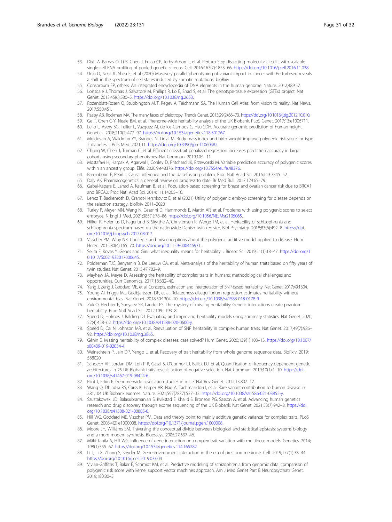- <span id="page-30-0"></span>53. Dixit A, Parnas O, Li B, Chen J, Fulco CP, Jerby-Arnon L, et al. Perturb-Seq: dissecting molecular circuits with scalable single-cell RNA profiling of pooled genetic screens. Cell. 2016;167(7):1853–66. <https://doi.org/10.1016/j.cell.2016.11.038>.
- 54. Ursu O, Neal JT, Shea E, et al (2020) Massively parallel phenotyping of variant impact in cancer with Perturb-seq reveals a shift in the spectrum of cell states induced by somatic mutations. bioRxiv
- 55. Consortium EP, others. An integrated encyclopedia of DNA elements in the human genome. Nature. 2012;489:57. 56. Lonsdale J, Thomas J, Salvatore M, Phillips R, Lo E, Shad S, et al. The genotype-tissue expression (GTEx) project. Nat
- Genet. 2013;45(6):580–5. <https://doi.org/10.1038/ng.2653>. 57. Rozenblatt-Rosen O, Stubbington MJT, Regev A, Teichmann SA. The Human Cell Atlas: from vision to reality. Nat News.
- 2017;550:451.
- 58. Paaby AB, Rockman MV. The many faces of pleiotropy. Trends Genet. 2013;29(2):66–73. <https://doi.org/10.1016/j.tig.2012.10.010>.
- 59. Ge T, Chen C-Y, Neale BM, et al. Phenome-wide heritability analysis of the UK Biobank. PLoS Genet. 2017;13:e1006711.
- 60. Lello L, Avery SG, Tellier L, Vazquez AI, de los Campos G, Hsu SDH. Accurate genomic prediction of human height. Genetics. 2018;210(2):477–97. [https://doi.org/10.1534/genetics.118.301267.](https://doi.org/10.1534/genetics.118.301267)
- 61. Moldovan A, Waldman YY, Brandes N, Linial M. Body mass index and birth weight improve polygenic risk score for type 2 diabetes. J Pers Med. 2021;11. [https://doi.org/10.3390/jpm11060582.](https://doi.org/10.3390/jpm11060582)
- 62. Chung W, Chen J, Turman C, et al. Efficient cross-trait penalized regression increases prediction accuracy in large cohorts using secondary phenotypes. Nat Commun. 2019;10:1–11.
- 63. Mostafavi H, Harpak A, Agarwal I, Conley D, Pritchard JK, Przeworski M. Variable prediction accuracy of polygenic scores within an ancestry group. Elife. 2020;9:e48376. [https://doi.org/10.7554/eLife.48376.](https://doi.org/10.7554/eLife.48376)
- 64. Bareinboim E, Pearl J. Causal inference and the data-fusion problem. Proc Natl Acad Sci. 2016;113:7345–52.
- 65. Daly AK. Pharmacogenetics: a general review on progress to date. Br Med Bull. 2017;124:65–79.
- 66. Gabai-Kapara E, Lahad A, Kaufman B, et al. Population-based screening for breast and ovarian cancer risk due to BRCA1 and BRCA2. Proc Natl Acad Sci. 2014;111:14205–10.
- 67. Lencz T, Backenroth D, Granot-Hershkovitz E, et al (2021) Utility of polygenic embryo screening for disease depends on the selection strategy. bioRxiv 2011–2020
- 68. Turley P, Meyer MN, Wang N, Cesarini D, Hammonds E, Martin AR, et al. Problems with using polygenic scores to select embryos. N Engl J Med. 2021;385(1):78–86. [https://doi.org/10.1056/NEJMsr2105065.](https://doi.org/10.1056/NEJMsr2105065)
- 69. Hilker R, Helenius D, Fagerlund B, Skytthe A, Christensen K, Werge TM, et al. Heritability of schizophrenia and schizophrenia spectrum based on the nationwide Danish twin register. Biol Psychiatry. 2018;83(6):492–8. [https://doi.](https://doi.org/10.1016/j.biopsych.2017.08.017) [org/10.1016/j.biopsych.2017.08.017](https://doi.org/10.1016/j.biopsych.2017.08.017).
- 70. Visscher PM, Wray NR. Concepts and misconceptions about the polygenic additive model applied to disease. Hum Hered. 2015;80(4):165–70. <https://doi.org/10.1159/000446931>.
- 71. Selita F, Kovas Y. Genes and Gini: what inequality means for heritability. J Biosoc Sci. 2019;51(1):18–47. [https://doi.org/1](https://doi.org/10.1017/S0021932017000645) [0.1017/S0021932017000645](https://doi.org/10.1017/S0021932017000645).
- 72. Polderman TJC, Benyamin B, De Leeuw CA, et al. Meta-analysis of the heritability of human traits based on fifty years of twin studies. Nat Genet. 2015;47:702–9.
- 73. Mayhew JA, Meyre D. Assessing the heritability of complex traits in humans: methodological challenges and opportunities. Curr Genomics. 2017;18:332–40.
- 74. Yang J, Zeng J, Goddard ME, et al. Concepts, estimation and interpretation of SNP-based heritability. Nat Genet. 2017;49:1304.
- 75. Young AI, Frigge ML, Gudbjartsson DF, et al. Relatedness disequilibrium regression estimates heritability without environmental bias. Nat Genet. 2018;50:1304–10. [https://doi.org/10.1038/s41588-018-0178-9.](https://doi.org/10.1038/s41588-018-0178-9)
- 76. Zuk O, Hechter E, Sunyaev SR, Lander ES. The mystery of missing heritability: Genetic interactions create phantom heritability. Proc Natl Acad Sci. 2012;109:1193–8.
- 77. Speed D, Holmes J, Balding DJ. Evaluating and improving heritability models using summary statistics. Nat Genet. 2020; 52(4):458–62. [https://doi.org/10.1038/s41588-020-0600-y.](https://doi.org/10.1038/s41588-020-0600-y)
- 78. Speed D, Cai N, Johnson MR, et al. Reevaluation of SNP heritability in complex human traits. Nat Genet. 2017;49(7):986– 92. <https://doi.org/10.1038/ng.3865>.
- 79. Génin E. Missing heritability of complex diseases: case solved? Hum Genet. 2020;139(1):103–13. [https://doi.org/10.1007/](https://doi.org/10.1007/s00439-019-02034-4) [s00439-019-02034-4](https://doi.org/10.1007/s00439-019-02034-4).
- 80. Wainschtein P, Jain DP, Yengo L, et al. Recovery of trait heritability from whole genome sequence data. BioRxiv. 2019; 588020.
- 81. Schoech AP, Jordan DM, Loh P-R, Gazal S, O'Connor LJ, Balick DJ, et al. Quantification of frequency-dependent genetic architectures in 25 UK Biobank traits reveals action of negative selection. Nat Commun. 2019;10(1):1–10. [https://doi.](https://doi.org/10.1038/s41467-019-08424-6) [org/10.1038/s41467-019-08424-6.](https://doi.org/10.1038/s41467-019-08424-6)
- 82. Flint J, Eskin E. Genome-wide association studies in mice. Nat Rev Genet. 2012;13:807–17.
- 83. Wang Q, Dhindsa RS, Carss K, Harper AR, Nag A, Tachmazidou I, et al. Rare variant contribution to human disease in 281,104 UK Biobank exomes. Nature. 2021;597(7877):527–32. <https://doi.org/10.1038/s41586-021-03855-y>.
- 84. Szustakowski JD, Balasubramanian S, Kvikstad E, Khalid S, Bronson PG, Sasson A, et al. Advancing human genetics research and drug discovery through exome sequencing of the UK Biobank. Nat Genet. 2021;53(7):942–8. [https://doi.](https://doi.org/10.1038/s41588-021-00885-0) [org/10.1038/s41588-021-00885-0.](https://doi.org/10.1038/s41588-021-00885-0)
- 85. Hill WG, Goddard ME, Visscher PM. Data and theory point to mainly additive genetic variance for complex traits. PLoS Genet. 2008;4(2):e1000008. <https://doi.org/10.1371/journal.pgen.1000008>.
- 86. Moore JH, Williams SM. Traversing the conceptual divide between biological and statistical epistasis: systems biology and a more modern synthesis. Bioessays. 2005;27:637–46.
- 87. Mäki-Tanila A, Hill WG. Influence of gene interaction on complex trait variation with multilocus models. Genetics. 2014; 198(1):355–67. <https://doi.org/10.1534/genetics.114.165282>.
- 88. Li J, Li X, Zhang S, Snyder M. Gene-environment interaction in the era of precision medicine. Cell. 2019;177(1):38–44. <https://doi.org/10.1016/j.cell.2019.03.004>.
- 89. Vivian-Griffiths T, Baker E, Schmidt KM, et al. Predictive modeling of schizophrenia from genomic data: comparison of polygenic risk score with kernel support vector machines approach. Am J Med Genet Part B Neuropsychiatr Genet. 2019;180:80–5.